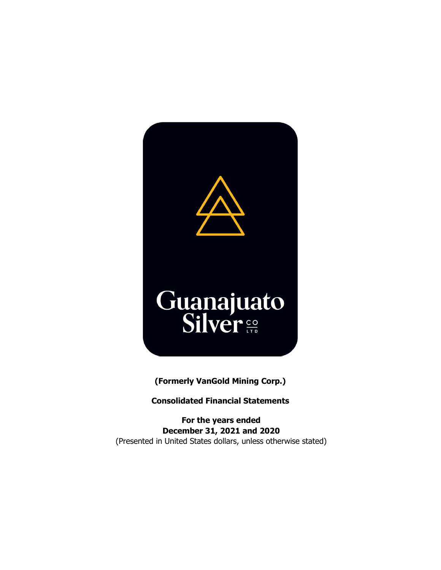

**(Formerly VanGold Mining Corp.)**

**Consolidated Financial Statements** 

**For the years ended December 31, 2021 and 2020** (Presented in United States dollars, unless otherwise stated)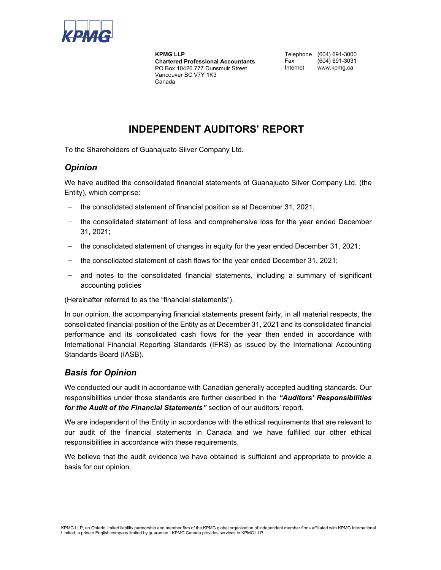

**KPMG LLP Chartered Professional Accountants** PO Box 10426 777 Dunsmuir Street Vancouver BC V7Y 1K3 Canada

Telephone (604) 691-3000<br>Fax (604) 691-3031 (604) 691-3031 Internet www.kpmg.ca

# **INDEPENDENT AUDITORS' REPORT**

To the Shareholders of Guanajuato Silver Company Ltd.

# *Opinion*

We have audited the consolidated financial statements of Guanajuato Silver Company Ltd. (the Entity), which comprise:

- − the consolidated statement of financial position as at December 31, 2021;
- the consolidated statement of loss and comprehensive loss for the year ended December 31, 2021;
- − the consolidated statement of changes in equity for the year ended December 31, 2021;
- − the consolidated statement of cash flows for the year ended December 31, 2021;
- and notes to the consolidated financial statements, including a summary of significant accounting policies

(Hereinafter referred to as the "financial statements").

In our opinion, the accompanying financial statements present fairly, in all material respects, the consolidated financial position of the Entity as at December 31, 2021 and its consolidated financial performance and its consolidated cash flows for the year then ended in accordance with International Financial Reporting Standards (IFRS) as issued by the International Accounting Standards Board (IASB).

# *Basis for Opinion*

We conducted our audit in accordance with Canadian generally accepted auditing standards. Our responsibilities under those standards are further described in the *"Auditors' Responsibilities for the Audit of the Financial Statements"* section of our auditors' report.

We are independent of the Entity in accordance with the ethical requirements that are relevant to our audit of the financial statements in Canada and we have fulfilled our other ethical responsibilities in accordance with these requirements.

We believe that the audit evidence we have obtained is sufficient and appropriate to provide a basis for our opinion.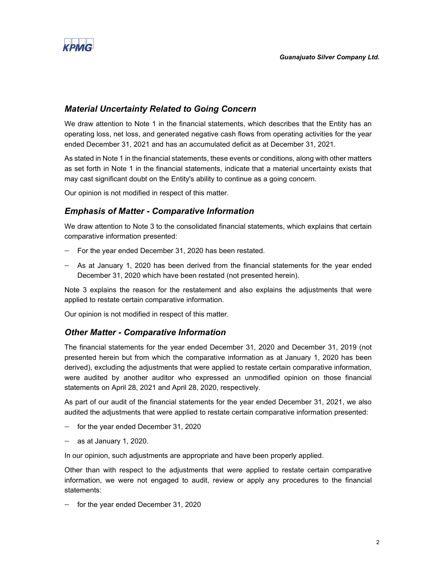

# *Material Uncertainty Related to Going Concern*

We draw attention to Note 1 in the financial statements, which describes that the Entity has an operating loss, net loss, and generated negative cash flows from operating activities for the year ended December 31, 2021 and has an accumulated deficit as at December 31, 2021.

As stated in Note 1 in the financial statements, these events or conditions, along with other matters as set forth in Note 1 in the financial statements, indicate that a material uncertainty exists that may cast significant doubt on the Entity's ability to continue as a going concern.

Our opinion is not modified in respect of this matter.

## *Emphasis of Matter - Comparative Information*

We draw attention to Note 3 to the consolidated financial statements, which explains that certain comparative information presented:

- − For the year ended December 31, 2020 has been restated.
- − As at January 1, 2020 has been derived from the financial statements for the year ended December 31, 2020 which have been restated (not presented herein).

Note 3 explains the reason for the restatement and also explains the adjustments that were applied to restate certain comparative information.

Our opinion is not modified in respect of this matter.

## *Other Matter - Comparative Information*

The financial statements for the year ended December 31, 2020 and December 31, 2019 (not presented herein but from which the comparative information as at January 1, 2020 has been derived), excluding the adjustments that were applied to restate certain comparative information, were audited by another auditor who expressed an unmodified opinion on those financial statements on April 28, 2021 and April 28, 2020, respectively.

As part of our audit of the financial statements for the year ended December 31, 2021, we also audited the adjustments that were applied to restate certain comparative information presented:

- − for the year ended December 31, 2020
- − as at January 1, 2020.

In our opinion, such adjustments are appropriate and have been properly applied.

Other than with respect to the adjustments that were applied to restate certain comparative information, we were not engaged to audit, review or apply any procedures to the financial statements:

− for the year ended December 31, 2020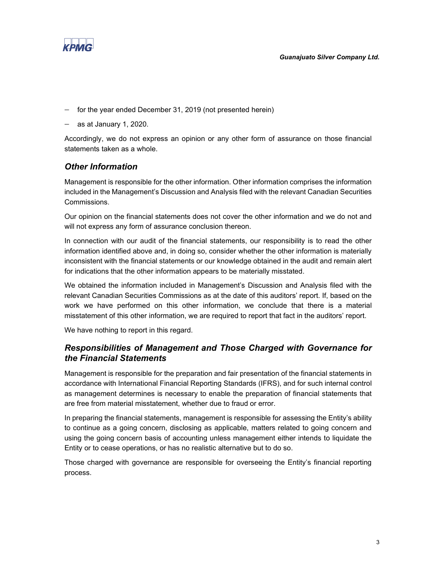

- − for the year ended December 31, 2019 (not presented herein)
- − as at January 1, 2020.

Accordingly, we do not express an opinion or any other form of assurance on those financial statements taken as a whole.

# *Other Information*

Management is responsible for the other information. Other information comprises the information included in the Management's Discussion and Analysis filed with the relevant Canadian Securities Commissions.

Our opinion on the financial statements does not cover the other information and we do not and will not express any form of assurance conclusion thereon.

In connection with our audit of the financial statements, our responsibility is to read the other information identified above and, in doing so, consider whether the other information is materially inconsistent with the financial statements or our knowledge obtained in the audit and remain alert for indications that the other information appears to be materially misstated.

We obtained the information included in Management's Discussion and Analysis filed with the relevant Canadian Securities Commissions as at the date of this auditors' report. If, based on the work we have performed on this other information, we conclude that there is a material misstatement of this other information, we are required to report that fact in the auditors' report.

We have nothing to report in this regard.

# *Responsibilities of Management and Those Charged with Governance for the Financial Statements*

Management is responsible for the preparation and fair presentation of the financial statements in accordance with International Financial Reporting Standards (IFRS), and for such internal control as management determines is necessary to enable the preparation of financial statements that are free from material misstatement, whether due to fraud or error.

In preparing the financial statements, management is responsible for assessing the Entity's ability to continue as a going concern, disclosing as applicable, matters related to going concern and using the going concern basis of accounting unless management either intends to liquidate the Entity or to cease operations, or has no realistic alternative but to do so.

Those charged with governance are responsible for overseeing the Entity's financial reporting process.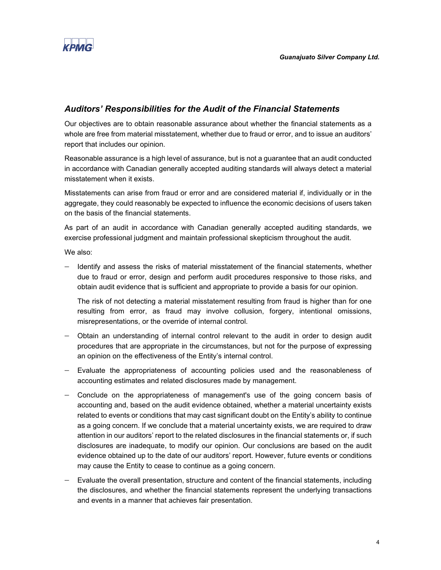# *Auditors' Responsibilities for the Audit of the Financial Statements*

Our objectives are to obtain reasonable assurance about whether the financial statements as a whole are free from material misstatement, whether due to fraud or error, and to issue an auditors' report that includes our opinion.

Reasonable assurance is a high level of assurance, but is not a guarantee that an audit conducted in accordance with Canadian generally accepted auditing standards will always detect a material misstatement when it exists.

Misstatements can arise from fraud or error and are considered material if, individually or in the aggregate, they could reasonably be expected to influence the economic decisions of users taken on the basis of the financial statements.

As part of an audit in accordance with Canadian generally accepted auditing standards, we exercise professional judgment and maintain professional skepticism throughout the audit.

We also:

− Identify and assess the risks of material misstatement of the financial statements, whether due to fraud or error, design and perform audit procedures responsive to those risks, and obtain audit evidence that is sufficient and appropriate to provide a basis for our opinion.

The risk of not detecting a material misstatement resulting from fraud is higher than for one resulting from error, as fraud may involve collusion, forgery, intentional omissions, misrepresentations, or the override of internal control.

- − Obtain an understanding of internal control relevant to the audit in order to design audit procedures that are appropriate in the circumstances, but not for the purpose of expressing an opinion on the effectiveness of the Entity's internal control.
- − Evaluate the appropriateness of accounting policies used and the reasonableness of accounting estimates and related disclosures made by management.
- − Conclude on the appropriateness of management's use of the going concern basis of accounting and, based on the audit evidence obtained, whether a material uncertainty exists related to events or conditions that may cast significant doubt on the Entity's ability to continue as a going concern. If we conclude that a material uncertainty exists, we are required to draw attention in our auditors' report to the related disclosures in the financial statements or, if such disclosures are inadequate, to modify our opinion. Our conclusions are based on the audit evidence obtained up to the date of our auditors' report. However, future events or conditions may cause the Entity to cease to continue as a going concern.
- − Evaluate the overall presentation, structure and content of the financial statements, including the disclosures, and whether the financial statements represent the underlying transactions and events in a manner that achieves fair presentation.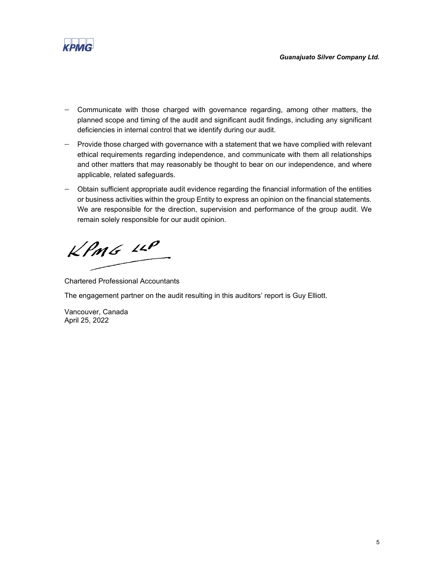

- − Communicate with those charged with governance regarding, among other matters, the planned scope and timing of the audit and significant audit findings, including any significant deficiencies in internal control that we identify during our audit.
- − Provide those charged with governance with a statement that we have complied with relevant ethical requirements regarding independence, and communicate with them all relationships and other matters that may reasonably be thought to bear on our independence, and where applicable, related safeguards.
- − Obtain sufficient appropriate audit evidence regarding the financial information of the entities or business activities within the group Entity to express an opinion on the financial statements. We are responsible for the direction, supervision and performance of the group audit. We remain solely responsible for our audit opinion.

 $KPMG$  11P

Chartered Professional Accountants

The engagement partner on the audit resulting in this auditors' report is Guy Elliott.

Vancouver, Canada April 25, 2022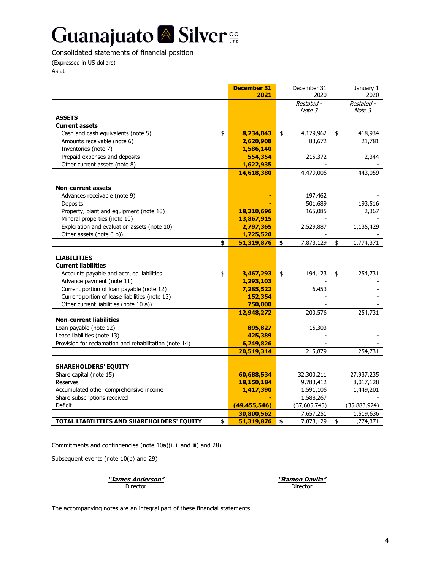Consolidated statements of financial position

(Expressed in US dollars)

As at

|                                                        | <b>December 31</b>       | December 31               | January 1       |
|--------------------------------------------------------|--------------------------|---------------------------|-----------------|
|                                                        | 2021                     | 2020                      | 2020            |
|                                                        |                          | Restated -                | Restated -      |
|                                                        |                          | Note 3                    | Note 3          |
| <b>ASSETS</b>                                          |                          |                           |                 |
| <b>Current assets</b>                                  |                          |                           |                 |
| \$<br>Cash and cash equivalents (note 5)               | 8,234,043                | 4,179,962<br>\$           | 418,934<br>\$   |
| Amounts receivable (note 6)                            | 2,620,908                | 83,672                    | 21,781          |
| Inventories (note 7)                                   | 1,586,140                |                           |                 |
| Prepaid expenses and deposits                          | 554,354                  | 215,372                   | 2,344           |
| Other current assets (note 8)                          | 1,622,935                |                           |                 |
|                                                        | 14,618,380               | 4,479,006                 | 443,059         |
| <b>Non-current assets</b>                              |                          |                           |                 |
| Advances receivable (note 9)                           |                          | 197,462                   |                 |
| Deposits                                               |                          | 501,689                   | 193,516         |
| Property, plant and equipment (note 10)                | 18,310,696               | 165,085                   | 2,367           |
| Mineral properties (note 10)                           | 13,867,915               |                           |                 |
| Exploration and evaluation assets (note 10)            | 2,797,365                | 2,529,887                 | 1,135,429       |
| Other assets (note 6 b))                               | 1,725,520                |                           |                 |
| \$                                                     | 51,319,876               | \$<br>7,873,129           | 1,774,371<br>\$ |
|                                                        |                          |                           |                 |
| <b>LIABILITIES</b>                                     |                          |                           |                 |
| <b>Current liabilities</b>                             |                          |                           |                 |
| Accounts payable and accrued liabilities<br>\$         | 3,467,293                | 194,123<br>\$             | 254,731<br>\$   |
| Advance payment (note 11)                              | 1,293,103                |                           |                 |
| Current portion of loan payable (note 12)              | 7,285,522                | 6,453                     |                 |
| Current portion of lease liabilities (note 13)         | 152,354                  |                           |                 |
| Other current liabilities (note 10 a))                 | 750,000                  |                           |                 |
|                                                        | 12,948,272               | 200,576                   | 254,731         |
| <b>Non-current liabilities</b>                         |                          |                           |                 |
| Loan payable (note 12)                                 | 895,827                  | 15,303                    |                 |
| Lease liabilities (note 13)                            | 425,389                  |                           |                 |
| Provision for reclamation and rehabilitation (note 14) | 6,249,826                |                           |                 |
|                                                        | 20,519,314               | 215,879                   | 254,731         |
|                                                        |                          |                           |                 |
| <b>SHAREHOLDERS' EQUITY</b>                            |                          |                           |                 |
| Share capital (note 15)                                | 60,688,534               | 32,300,211                | 27,937,235      |
| <b>Reserves</b>                                        | 18,150,184               | 9,783,412                 | 8,017,128       |
| Accumulated other comprehensive income                 | 1,417,390                | 1,591,106                 | 1,449,201       |
| Share subscriptions received<br>Deficit                | (49, 455, 546)           | 1,588,267                 | (35,883,924)    |
|                                                        |                          | (37,605,745)<br>7,657,251 | 1,519,636       |
| TOTAL LIABILITIES AND SHAREHOLDERS' EOUITY<br>\$       | 30,800,562<br>51,319,876 | \$<br>7,873,129           | \$<br>1,774,371 |
|                                                        |                          |                           |                 |

Commitments and contingencies (note 10a)(i, ii and iii) and 28)

Subsequent events (note 10(b) and 29)

**"James Anderson"** Director

**"Ramon Davila"** Director

The accompanying notes are an integral part of these financial statements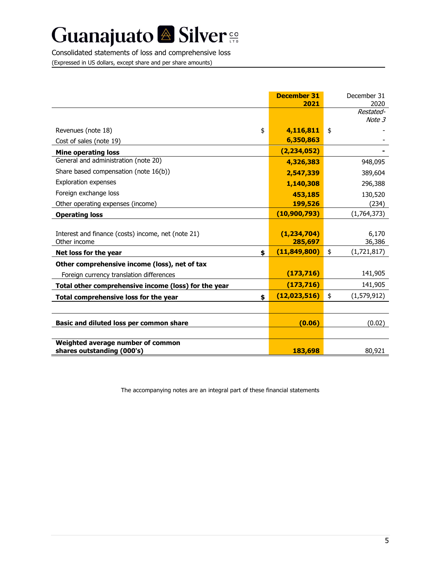# Guanajuato <sup>2</sup> Silver<sup>e</sup>

Consolidated statements of loss and comprehensive loss

(Expressed in US dollars, except share and per share amounts)

|                                                                    | <b>December 31</b><br>2021 | December 31<br>2020 |
|--------------------------------------------------------------------|----------------------------|---------------------|
|                                                                    |                            | Restated-<br>Note 3 |
| \$<br>Revenues (note 18)                                           | 4,116,811                  | \$                  |
| Cost of sales (note 19)                                            | 6,350,863                  |                     |
| <b>Mine operating loss</b>                                         | (2, 234, 052)              |                     |
| General and administration (note 20)                               | 4,326,383                  | 948,095             |
| Share based compensation (note 16(b))                              | 2,547,339                  | 389,604             |
| <b>Exploration expenses</b>                                        | 1,140,308                  | 296,388             |
| Foreign exchange loss                                              | 453,185                    | 130,520             |
| Other operating expenses (income)                                  | 199,526                    | (234)               |
| <b>Operating loss</b>                                              | (10,900,793)               | (1,764,373)         |
|                                                                    |                            |                     |
| Interest and finance (costs) income, net (note 21)<br>Other income | (1, 234, 704)<br>285,697   | 6,170<br>36,386     |
| \$<br>Net loss for the year                                        | (11, 849, 800)             | \$<br>(1,721,817)   |
| Other comprehensive income (loss), net of tax                      |                            |                     |
| Foreign currency translation differences                           | (173, 716)                 | 141,905             |
| Total other comprehensive income (loss) for the year               | (173, 716)                 | 141,905             |
| \$<br>Total comprehensive loss for the year                        | (12, 023, 516)             | \$<br>(1,579,912)   |
|                                                                    |                            |                     |
| Basic and diluted loss per common share                            | (0.06)                     | (0.02)              |
|                                                                    |                            |                     |
| Weighted average number of common<br>shares outstanding (000's)    | 183,698                    | 80,921              |

The accompanying notes are an integral part of these financial statements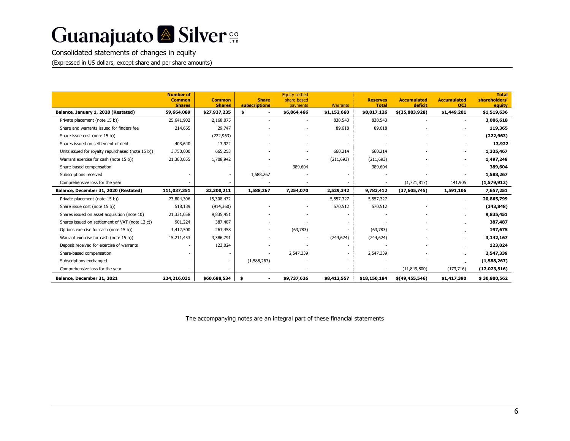# Guanajuato <sup>2</sup> Silver<sup>co</sup>

## Consolidated statements of changes in equity

(Expressed in US dollars, except share and per share amounts)

|                                                   | <b>Number of</b><br><b>Common</b> | <b>Common</b> | <b>Share</b>                   | <b>Equity settled</b><br>share-based |                 | <b>Reserves</b> | <b>Accumulated</b> | <b>Accumulated</b> | <b>Total</b><br>shareholders' |
|---------------------------------------------------|-----------------------------------|---------------|--------------------------------|--------------------------------------|-----------------|-----------------|--------------------|--------------------|-------------------------------|
|                                                   | <b>Shares</b>                     | <b>Shares</b> | subscriptions                  | payments                             | <b>Warrants</b> | <b>Total</b>    | deficit            | <b>OCI</b>         | equity                        |
| Balance, January 1, 2020 (Restated)               | 59,664,089                        | \$27,937,235  | \$<br>$\overline{\phantom{0}}$ | \$6,864,466                          | \$1,152,660     | \$8,017,126     | $$$ (35,883,928)   | \$1,449,201        | \$1,519,636                   |
| Private placement (note 15 b))                    | 25,641,902                        | 2,168,075     |                                |                                      | 838,543         | 838,543         |                    |                    | 3,006,618                     |
| Share and warrants issued for finders fee         | 214,665                           | 29,747        |                                |                                      | 89,618          | 89,618          |                    |                    | 119,365                       |
| Share issue cost (note 15 b))                     |                                   | (222, 963)    |                                |                                      |                 |                 |                    |                    | (222, 963)                    |
| Shares issued on settlement of debt               | 403,640                           | 13,922        |                                |                                      |                 |                 |                    | ٠                  | 13,922                        |
| Units issued for royalty repurchased (note 15 b)) | 3,750,000                         | 665,253       |                                |                                      | 660,214         | 660,214         |                    |                    | 1,325,467                     |
| Warrant exercise for cash (note 15 b))            | 21,363,055                        | 1,708,942     |                                |                                      | (211, 693)      | (211, 693)      |                    |                    | 1,497,249                     |
| Share-based compensation                          |                                   |               |                                | 389,604                              |                 | 389,604         |                    |                    | 389,604                       |
| Subscriptions received                            |                                   |               | 1,588,267                      |                                      |                 |                 |                    |                    | 1,588,267                     |
| Comprehensive loss for the year                   |                                   |               |                                |                                      |                 |                 | (1,721,817)        | 141,905            | (1,579,912)                   |
| Balance, December 31, 2020 (Restated)             | 111,037,351                       | 32,300,211    | 1,588,267                      | 7,254,070                            | 2,529,342       | 9,783,412       | (37,605,745)       | 1,591,106          | 7,657,251                     |
| Private placement (note 15 b))                    | 73,804,306                        | 15,308,472    |                                |                                      | 5,557,327       | 5,557,327       |                    |                    | 20,865,799                    |
| Share issue cost (note 15 b))                     | 518,139                           | (914, 360)    |                                |                                      | 570,512         | 570,512         |                    |                    | (343, 848)                    |
| Shares issued on asset acquisition (note 10)      | 21,331,058                        | 9,835,451     |                                |                                      |                 |                 |                    |                    | 9,835,451                     |
| Shares issued on settlement of VAT (note 12 c))   | 901,224                           | 387,487       |                                |                                      |                 |                 |                    |                    | 387,487                       |
| Options exercise for cash (note 15 b))            | 1,412,500                         | 261,458       |                                | (63, 783)                            |                 | (63, 783)       |                    |                    | 197,675                       |
| Warrant exercise for cash (note 15 b))            | 15,211,453                        | 3,386,791     |                                |                                      | (244, 624)      | (244, 624)      |                    |                    | 3,142,167                     |
| Deposit received for exercise of warrants         | ٠                                 | 123,024       |                                |                                      |                 |                 |                    |                    | 123,024                       |
| Share-based compensation                          |                                   |               |                                | 2,547,339                            |                 | 2,547,339       |                    |                    | 2,547,339                     |
| Subscriptions exchanged                           |                                   |               | (1,588,267)                    |                                      |                 |                 |                    |                    | (1,588,267)                   |
| Comprehensive loss for the year                   |                                   |               |                                |                                      |                 |                 | (11,849,800)       | (173, 716)         | (12,023,516)                  |
| Balance, December 31, 2021                        | 224,216,031                       | \$60,688,534  | \$                             | \$9,737,626                          | \$8,412,557     | \$18,150,184    | \$(49, 455, 546)   | \$1,417,390        | \$30,800,562                  |

The accompanying notes are an integral part of these financial statements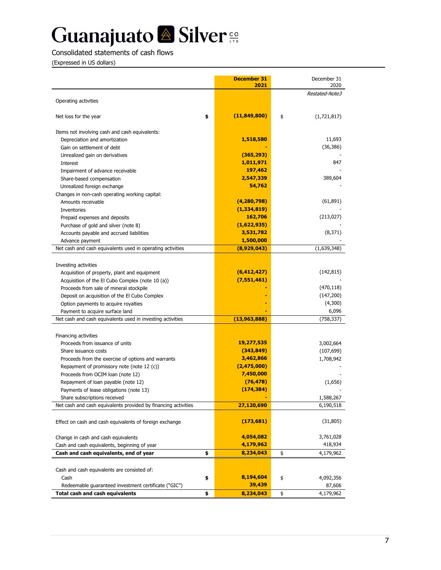# Guanajuato <sup>2</sup> Silver<sup>co</sup>

# Consolidated statements of cash flows

(Expressed in US dollars)

|                                                                                     | <b>December 31</b><br>2021 | December 31<br>2020 |
|-------------------------------------------------------------------------------------|----------------------------|---------------------|
|                                                                                     |                            | Restated-Note3      |
| Operating activities                                                                |                            |                     |
| Net loss for the year                                                               | \$<br>(11, 849, 800)       | \$<br>(1,721,817)   |
| Items not involving cash and cash equivalents:                                      |                            |                     |
| Depreciation and amortization                                                       | 1,518,580                  | 11,693              |
| Gain on settlement of debt                                                          |                            | (36, 386)           |
| Unrealized gain on derivatives                                                      | (365, 293)                 |                     |
| Interest                                                                            | 1,011,971                  | 847                 |
| Impairment of advance receivable                                                    | 197,462                    |                     |
| Share-based compensation                                                            | 2,547,339                  | 389,604             |
| Unrealized foreign exchange                                                         | 54,762                     |                     |
| Changes in non-cash operating working capital:                                      |                            |                     |
| Amounts receivable                                                                  | (4, 280, 798)              | (61, 891)           |
| Inventories                                                                         | (1,334,819)                |                     |
| Prepaid expenses and deposits                                                       | 162,706                    | (213, 027)          |
| Purchase of gold and silver (note 8)                                                | (1,622,935)                |                     |
| Accounts payable and accrued liabilities                                            | 3,531,782                  | (8, 371)            |
| Advance payment                                                                     | 1,500,000                  |                     |
| Net cash and cash equivalents used in operating activities                          | (8,929,043)                | (1,639,348)         |
|                                                                                     |                            |                     |
| Investing activities                                                                |                            |                     |
| Acquisition of property, plant and equipment                                        | (6,412,427)                | (142, 815)          |
| Acquisition of the El Cubo Complex (note 10 (a))                                    | (7,551,461)                |                     |
| Proceeds from sale of mineral stockpile                                             |                            | (470, 118)          |
| Deposit on acquisition of the El Cubo Complex                                       |                            | (147,200)           |
| Option payments to acquire royalties                                                |                            | (4,300)             |
| Payment to acquire surface land                                                     |                            | 6,096               |
| Net cash and cash equivalents used in investing activities                          | (13,963,888)               | (758, 337)          |
|                                                                                     |                            |                     |
| Financing activities                                                                |                            |                     |
| Proceeds from issuance of units                                                     | 19,277,535                 | 3,002,664           |
| Share issuance costs                                                                | (343, 849)                 | (107, 699)          |
| Proceeds from the exercise of options and warrants                                  | 3,462,866                  | 1,708,942           |
| Repayment of promissory note (note 12 (c))                                          | (2,475,000)                |                     |
| Proceeds from OCIM loan (note 12)                                                   | 7,450,000                  |                     |
| Repayment of loan payable (note 12)                                                 | (76, 478)                  | (1,656)             |
| Payments of lease obligations (note 13)                                             | (174, 384)                 |                     |
| Share subscriptions received                                                        |                            | 1,588,267           |
| Net cash and cash equivalents provided by financing activities                      | 27,120,690                 | 6,190,518           |
| Effect on cash and cash equivalents of foreign exchange                             | (173, 681)                 | (31, 805)           |
|                                                                                     | 4,054,082                  | 3,761,028           |
| Change in cash and cash equivalents<br>Cash and cash equivalents, beginning of year | 4,179,962                  | 418,934             |
| Cash and cash equivalents, end of year                                              | \$<br>8,234,043            | \$<br>4,179,962     |
|                                                                                     |                            |                     |
| Cash and cash equivalents are consisted of:                                         |                            |                     |
| Cash                                                                                | \$<br>8,194,604            | \$<br>4,092,356     |
| Redeemable guaranteed investment certificate ("GIC")                                | 39,439                     | 87,606              |
| Total cash and cash equivalents                                                     | \$<br>8,234,043            | \$<br>4,179,962     |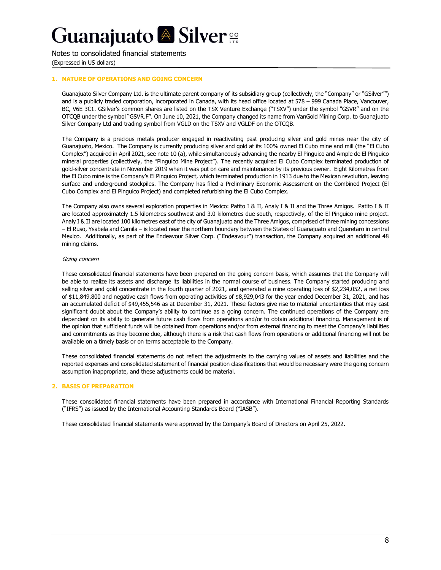Notes to consolidated financial statements (Expressed in US dollars)

### **1. NATURE OF OPERATIONS AND GOING CONCERN**

Guanajuato Silver Company Ltd. is the ultimate parent company of its subsidiary group (collectively, the "Company" or "GSilver"") and is a publicly traded corporation, incorporated in Canada, with its head office located at 578 – 999 Canada Place, Vancouver, BC, V6E 3C1. GSilver's common shares are listed on the TSX Venture Exchange ("TSXV") under the symbol "GSVR" and on the OTCQB under the symbol "GSVR.F". On June 10, 2021, the Company changed its name from VanGold Mining Corp. to Guanajuato Silver Company Ltd and trading symbol from VGLD on the TSXV and VGLDF on the OTCQB.

The Company is a precious metals producer engaged in reactivating past producing silver and gold mines near the city of Guanajuato, Mexico. The Company is currently producing silver and gold at its 100% owned El Cubo mine and mill (the "El Cubo Complex") acquired in April 2021, see note 10 (a), while simultaneously advancing the nearby El Pinguico and Ample de El Pinguico mineral properties (collectively, the "Pinguico Mine Project"). The recently acquired El Cubo Complex terminated production of gold-silver concentrate in November 2019 when it was put on care and maintenance by its previous owner. Eight Kilometres from the El Cubo mine is the Company's El Pinguico Project, which terminated production in 1913 due to the Mexican revolution, leaving surface and underground stockpiles. The Company has filed a Preliminary Economic Assessment on the Combined Project (El Cubo Complex and El Pinguico Project) and completed refurbishing the El Cubo Complex.

The Company also owns several exploration properties in Mexico: Patito I & II, Analy I & II and the Three Amigos. Patito I & II are located approximately 1.5 kilometres southwest and 3.0 kilometres due south, respectively, of the El Pinguico mine project. Analy I & II are located 100 kilometres east of the city of Guanajuato and the Three Amigos, comprised of three mining concessions – El Ruso, Ysabela and Camila – is located near the northern boundary between the States of Guanajuato and Queretaro in central Mexico. Additionally, as part of the Endeavour Silver Corp. ("Endeavour") transaction, the Company acquired an additional 48 mining claims.

#### Going concern

These consolidated financial statements have been prepared on the going concern basis, which assumes that the Company will be able to realize its assets and discharge its liabilities in the normal course of business. The Company started producing and selling silver and gold concentrate in the fourth quarter of 2021, and generated a mine operating loss of \$2,234,052, a net loss of \$11,849,800 and negative cash flows from operating activities of \$8,929,043 for the year ended December 31, 2021, and has an accumulated deficit of \$49,455,546 as at December 31, 2021. These factors give rise to material uncertainties that may cast significant doubt about the Company's ability to continue as a going concern. The continued operations of the Company are dependent on its ability to generate future cash flows from operations and/or to obtain additional financing. Management is of the opinion that sufficient funds will be obtained from operations and/or from external financing to meet the Company's liabilities and commitments as they become due, although there is a risk that cash flows from operations or additional financing will not be available on a timely basis or on terms acceptable to the Company.

These consolidated financial statements do not reflect the adjustments to the carrying values of assets and liabilities and the reported expenses and consolidated statement of financial position classifications that would be necessary were the going concern assumption inappropriate, and these adjustments could be material.

#### **2. BASIS OF PREPARATION**

These consolidated financial statements have been prepared in accordance with International Financial Reporting Standards ("IFRS") as issued by the International Accounting Standards Board ("IASB").

These consolidated financial statements were approved by the Company's Board of Directors on April 25, 2022.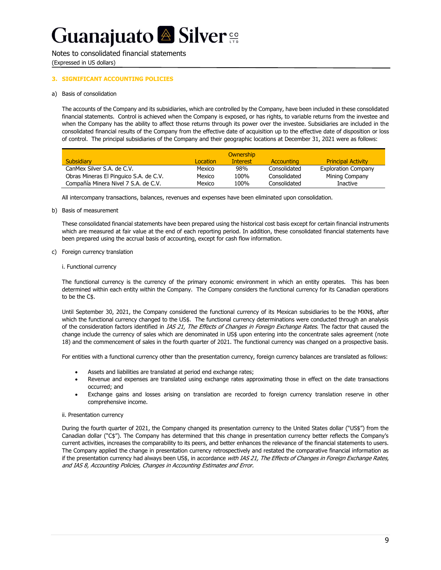Notes to consolidated financial statements (Expressed in US dollars)

### **3. SIGNIFICANT ACCOUNTING POLICIES**

#### a) Basis of consolidation

The accounts of the Company and its subsidiaries, which are controlled by the Company, have been included in these consolidated financial statements. Control is achieved when the Company is exposed, or has rights, to variable returns from the investee and when the Company has the ability to affect those returns through its power over the investee. Subsidiaries are included in the consolidated financial results of the Company from the effective date of acquisition up to the effective date of disposition or loss of control. The principal subsidiaries of the Company and their geographic locations at December 31, 2021 were as follows:

|                                        |                 | Ownership       |                   |                            |
|----------------------------------------|-----------------|-----------------|-------------------|----------------------------|
| Subsidiary                             | <u>Location</u> | <b>Interest</b> | <b>Accounting</b> | <b>Principal Activity</b>  |
| CanMex Silver S.A. de C.V.             | Mexico          | 98%             | Consolidated      | <b>Exploration Company</b> |
| Obras Mineras El Pinguico S.A. de C.V. | Mexico          | 100%            | Consolidated      | Mining Company             |
| Compañía Minera Nivel 7 S.A. de C.V.   | Mexico          | 100%            | Consolidated      | Inactive                   |

All intercompany transactions, balances, revenues and expenses have been eliminated upon consolidation.

#### b) Basis of measurement

These consolidated financial statements have been prepared using the historical cost basis except for certain financial instruments which are measured at fair value at the end of each reporting period. In addition, these consolidated financial statements have been prepared using the accrual basis of accounting, except for cash flow information.

#### c) Foreign currency translation

#### i. Functional currency

The functional currency is the currency of the primary economic environment in which an entity operates. This has been determined within each entity within the Company. The Company considers the functional currency for its Canadian operations to be the C\$.

Until September 30, 2021, the Company considered the functional currency of its Mexican subsidiaries to be the MXN\$, after which the functional currency changed to the US\$. The functional currency determinations were conducted through an analysis of the consideration factors identified in IAS 21, The Effects of Changes in Foreign Exchange Rates. The factor that caused the change include the currency of sales which are denominated in US\$ upon entering into the concentrate sales agreement (note 18) and the commencement of sales in the fourth quarter of 2021. The functional currency was changed on a prospective basis.

For entities with a functional currency other than the presentation currency, foreign currency balances are translated as follows:

- Assets and liabilities are translated at period end exchange rates;
- Revenue and expenses are translated using exchange rates approximating those in effect on the date transactions occurred; and
- Exchange gains and losses arising on translation are recorded to foreign currency translation reserve in other comprehensive income.

#### ii. Presentation currency

During the fourth quarter of 2021, the Company changed its presentation currency to the United States dollar ("US\$") from the Canadian dollar ("C\$"). The Company has determined that this change in presentation currency better reflects the Company's current activities, increases the comparability to its peers, and better enhances the relevance of the financial statements to users. The Company applied the change in presentation currency retrospectively and restated the comparative financial information as if the presentation currency had always been US\$, in accordance with IAS 21, The Effects of Changes in Foreign Exchange Rates, and IAS 8, Accounting Policies, Changes in Accounting Estimates and Error.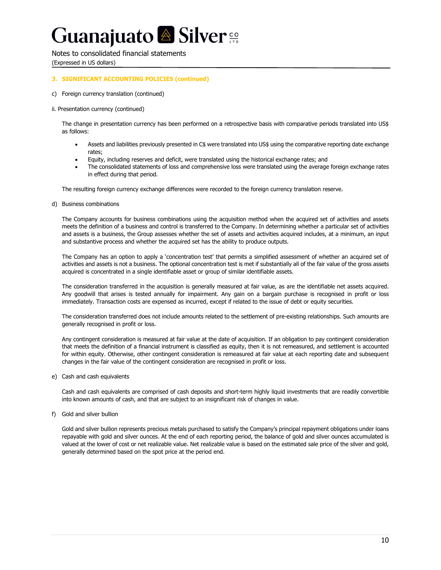Notes to consolidated financial statements

(Expressed in US dollars)

### **3. SIGNIFICANT ACCOUNTING POLICIES (continued)**

- c) Foreign currency translation (continued)
- ii. Presentation currency (continued)

The change in presentation currency has been performed on a retrospective basis with comparative periods translated into US\$ as follows:

- Assets and liabilities previously presented in C\$ were translated into US\$ using the comparative reporting date exchange rates;
- Equity, including reserves and deficit, were translated using the historical exchange rates; and
- The consolidated statements of loss and comprehensive loss were translated using the average foreign exchange rates in effect during that period.

The resulting foreign currency exchange differences were recorded to the foreign currency translation reserve.

d) Business combinations

The Company accounts for business combinations using the acquisition method when the acquired set of activities and assets meets the definition of a business and control is transferred to the Company. In determining whether a particular set of activities and assets is a business, the Group assesses whether the set of assets and activities acquired includes, at a minimum, an input and substantive process and whether the acquired set has the ability to produce outputs.

The Company has an option to apply a 'concentration test' that permits a simplified assessment of whether an acquired set of activities and assets is not a business. The optional concentration test is met if substantially all of the fair value of the gross assets acquired is concentrated in a single identifiable asset or group of similar identifiable assets.

The consideration transferred in the acquisition is generally measured at fair value, as are the identifiable net assets acquired. Any goodwill that arises is tested annually for impairment. Any gain on a bargain purchase is recognised in profit or loss immediately. Transaction costs are expensed as incurred, except if related to the issue of debt or equity securities.

The consideration transferred does not include amounts related to the settlement of pre-existing relationships. Such amounts are generally recognised in profit or loss.

Any contingent consideration is measured at fair value at the date of acquisition. If an obligation to pay contingent consideration that meets the definition of a financial instrument is classified as equity, then it is not remeasured, and settlement is accounted for within equity. Otherwise, other contingent consideration is remeasured at fair value at each reporting date and subsequent changes in the fair value of the contingent consideration are recognised in profit or loss.

e) Cash and cash equivalents

Cash and cash equivalents are comprised of cash deposits and short-term highly liquid investments that are readily convertible into known amounts of cash, and that are subject to an insignificant risk of changes in value.

f) Gold and silver bullion

Gold and silver bullion represents precious metals purchased to satisfy the Company's principal repayment obligations under loans repayable with gold and silver ounces. At the end of each reporting period, the balance of gold and silver ounces accumulated is valued at the lower of cost or net realizable value. Net realizable value is based on the estimated sale price of the silver and gold, generally determined based on the spot price at the period end.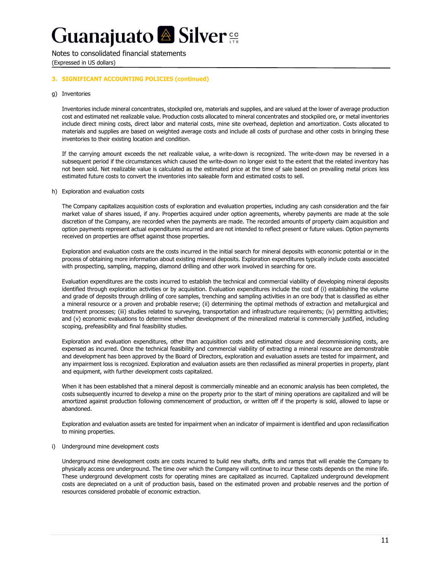Notes to consolidated financial statements (Expressed in US dollars)

### **3. SIGNIFICANT ACCOUNTING POLICIES (continued)**

#### g) Inventories

Inventories include mineral concentrates, stockpiled ore, materials and supplies, and are valued at the lower of average production cost and estimated net realizable value. Production costs allocated to mineral concentrates and stockpiled ore, or metal inventories include direct mining costs, direct labor and material costs, mine site overhead, depletion and amortization. Costs allocated to materials and supplies are based on weighted average costs and include all costs of purchase and other costs in bringing these inventories to their existing location and condition.

If the carrying amount exceeds the net realizable value, a write-down is recognized. The write-down may be reversed in a subsequent period if the circumstances which caused the write-down no longer exist to the extent that the related inventory has not been sold. Net realizable value is calculated as the estimated price at the time of sale based on prevailing metal prices less estimated future costs to convert the inventories into saleable form and estimated costs to sell.

#### h) Exploration and evaluation costs

The Company capitalizes acquisition costs of exploration and evaluation properties, including any cash consideration and the fair market value of shares issued, if any. Properties acquired under option agreements, whereby payments are made at the sole discretion of the Company, are recorded when the payments are made. The recorded amounts of property claim acquisition and option payments represent actual expenditures incurred and are not intended to reflect present or future values. Option payments received on properties are offset against those properties.

Exploration and evaluation costs are the costs incurred in the initial search for mineral deposits with economic potential or in the process of obtaining more information about existing mineral deposits. Exploration expenditures typically include costs associated with prospecting, sampling, mapping, diamond drilling and other work involved in searching for ore.

Evaluation expenditures are the costs incurred to establish the technical and commercial viability of developing mineral deposits identified through exploration activities or by acquisition. Evaluation expenditures include the cost of (i) establishing the volume and grade of deposits through drilling of core samples, trenching and sampling activities in an ore body that is classified as either a mineral resource or a proven and probable reserve; (ii) determining the optimal methods of extraction and metallurgical and treatment processes; (iii) studies related to surveying, transportation and infrastructure requirements; (iv) permitting activities; and (v) economic evaluations to determine whether development of the mineralized material is commercially justified, including scoping, prefeasibility and final feasibility studies.

Exploration and evaluation expenditures, other than acquisition costs and estimated closure and decommissioning costs, are expensed as incurred. Once the technical feasibility and commercial viability of extracting a mineral resource are demonstrable and development has been approved by the Board of Directors, exploration and evaluation assets are tested for impairment, and any impairment loss is recognized. Exploration and evaluation assets are then reclassified as mineral properties in property, plant and equipment, with further development costs capitalized.

When it has been established that a mineral deposit is commercially mineable and an economic analysis has been completed, the costs subsequently incurred to develop a mine on the property prior to the start of mining operations are capitalized and will be amortized against production following commencement of production, or written off if the property is sold, allowed to lapse or abandoned.

Exploration and evaluation assets are tested for impairment when an indicator of impairment is identified and upon reclassification to mining properties.

### i) Underground mine development costs

Underground mine development costs are costs incurred to build new shafts, drifts and ramps that will enable the Company to physically access ore underground. The time over which the Company will continue to incur these costs depends on the mine life. These underground development costs for operating mines are capitalized as incurred. Capitalized underground development costs are depreciated on a unit of production basis, based on the estimated proven and probable reserves and the portion of resources considered probable of economic extraction.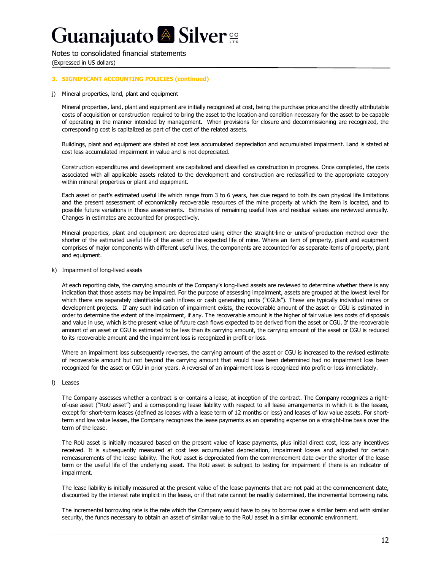Notes to consolidated financial statements (Expressed in US dollars)

### **3. SIGNIFICANT ACCOUNTING POLICIES (continued)**

j) Mineral properties, land, plant and equipment

Mineral properties, land, plant and equipment are initially recognized at cost, being the purchase price and the directly attributable costs of acquisition or construction required to bring the asset to the location and condition necessary for the asset to be capable of operating in the manner intended by management. When provisions for closure and decommissioning are recognized, the corresponding cost is capitalized as part of the cost of the related assets.

Buildings, plant and equipment are stated at cost less accumulated depreciation and accumulated impairment. Land is stated at cost less accumulated impairment in value and is not depreciated.

Construction expenditures and development are capitalized and classified as construction in progress. Once completed, the costs associated with all applicable assets related to the development and construction are reclassified to the appropriate category within mineral properties or plant and equipment.

Each asset or part's estimated useful life which range from 3 to 6 years, has due regard to both its own physical life limitations and the present assessment of economically recoverable resources of the mine property at which the item is located, and to possible future variations in those assessments. Estimates of remaining useful lives and residual values are reviewed annually. Changes in estimates are accounted for prospectively.

Mineral properties, plant and equipment are depreciated using either the straight-line or units-of-production method over the shorter of the estimated useful life of the asset or the expected life of mine. Where an item of property, plant and equipment comprises of major components with different useful lives, the components are accounted for as separate items of property, plant and equipment.

k) Impairment of long-lived assets

At each reporting date, the carrying amounts of the Company's long-lived assets are reviewed to determine whether there is any indication that those assets may be impaired. For the purpose of assessing impairment, assets are grouped at the lowest level for which there are separately identifiable cash inflows or cash generating units ("CGUs"). These are typically individual mines or development projects. If any such indication of impairment exists, the recoverable amount of the asset or CGU is estimated in order to determine the extent of the impairment, if any. The recoverable amount is the higher of fair value less costs of disposals and value in use, which is the present value of future cash flows expected to be derived from the asset or CGU. If the recoverable amount of an asset or CGU is estimated to be less than its carrying amount, the carrying amount of the asset or CGU is reduced to its recoverable amount and the impairment loss is recognized in profit or loss.

Where an impairment loss subsequently reverses, the carrying amount of the asset or CGU is increased to the revised estimate of recoverable amount but not beyond the carrying amount that would have been determined had no impairment loss been recognized for the asset or CGU in prior years. A reversal of an impairment loss is recognized into profit or loss immediately.

#### l) Leases

The Company assesses whether a contract is or contains a lease, at inception of the contract. The Company recognizes a rightof-use asset ("RoU asset") and a corresponding lease liability with respect to all lease arrangements in which it is the lessee, except for short-term leases (defined as leases with a lease term of 12 months or less) and leases of low value assets. For shortterm and low value leases, the Company recognizes the lease payments as an operating expense on a straight-line basis over the term of the lease.

The RoU asset is initially measured based on the present value of lease payments, plus initial direct cost, less any incentives received. It is subsequently measured at cost less accumulated depreciation, impairment losses and adjusted for certain remeasurements of the lease liability. The RoU asset is depreciated from the commencement date over the shorter of the lease term or the useful life of the underlying asset. The RoU asset is subject to testing for impairment if there is an indicator of impairment.

The lease liability is initially measured at the present value of the lease payments that are not paid at the commencement date, discounted by the interest rate implicit in the lease, or if that rate cannot be readily determined, the incremental borrowing rate.

The incremental borrowing rate is the rate which the Company would have to pay to borrow over a similar term and with similar security, the funds necessary to obtain an asset of similar value to the RoU asset in a similar economic environment.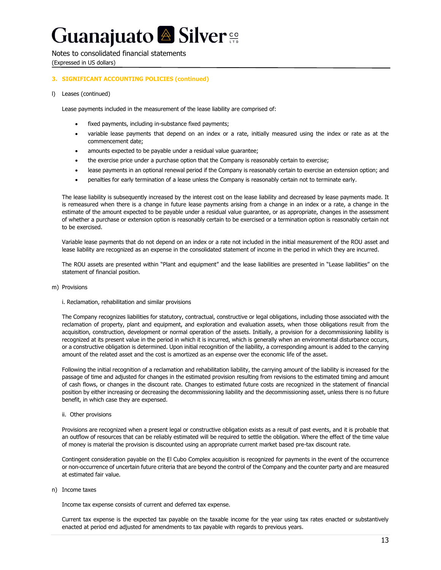Notes to consolidated financial statements (Expressed in US dollars)

### **3. SIGNIFICANT ACCOUNTING POLICIES (continued)**

l) Leases (continued)

Lease payments included in the measurement of the lease liability are comprised of:

- fixed payments, including in-substance fixed payments;
- variable lease payments that depend on an index or a rate, initially measured using the index or rate as at the commencement date;
- amounts expected to be payable under a residual value guarantee;
- the exercise price under a purchase option that the Company is reasonably certain to exercise;
- lease payments in an optional renewal period if the Company is reasonably certain to exercise an extension option; and
- penalties for early termination of a lease unless the Company is reasonably certain not to terminate early.

The lease liability is subsequently increased by the interest cost on the lease liability and decreased by lease payments made. It is remeasured when there is a change in future lease payments arising from a change in an index or a rate, a change in the estimate of the amount expected to be payable under a residual value guarantee, or as appropriate, changes in the assessment of whether a purchase or extension option is reasonably certain to be exercised or a termination option is reasonably certain not to be exercised.

Variable lease payments that do not depend on an index or a rate not included in the initial measurement of the ROU asset and lease liability are recognized as an expense in the consolidated statement of income in the period in which they are incurred.

The ROU assets are presented within "Plant and equipment" and the lease liabilities are presented in "Lease liabilities" on the statement of financial position.

m) Provisions

#### i. Reclamation, rehabilitation and similar provisions

The Company recognizes liabilities for statutory, contractual, constructive or legal obligations, including those associated with the reclamation of property, plant and equipment, and exploration and evaluation assets, when those obligations result from the acquisition, construction, development or normal operation of the assets. Initially, a provision for a decommissioning liability is recognized at its present value in the period in which it is incurred, which is generally when an environmental disturbance occurs, or a constructive obligation is determined. Upon initial recognition of the liability, a corresponding amount is added to the carrying amount of the related asset and the cost is amortized as an expense over the economic life of the asset.

Following the initial recognition of a reclamation and rehabilitation liability, the carrying amount of the liability is increased for the passage of time and adjusted for changes in the estimated provision resulting from revisions to the estimated timing and amount of cash flows, or changes in the discount rate. Changes to estimated future costs are recognized in the statement of financial position by either increasing or decreasing the decommissioning liability and the decommissioning asset, unless there is no future benefit, in which case they are expensed.

ii. Other provisions

Provisions are recognized when a present legal or constructive obligation exists as a result of past events, and it is probable that an outflow of resources that can be reliably estimated will be required to settle the obligation. Where the effect of the time value of money is material the provision is discounted using an appropriate current market based pre-tax discount rate.

Contingent consideration payable on the El Cubo Complex acquisition is recognized for payments in the event of the occurrence or non-occurrence of uncertain future criteria that are beyond the control of the Company and the counter party and are measured at estimated fair value.

n) Income taxes

Income tax expense consists of current and deferred tax expense.

Current tax expense is the expected tax payable on the taxable income for the year using tax rates enacted or substantively enacted at period end adjusted for amendments to tax payable with regards to previous years.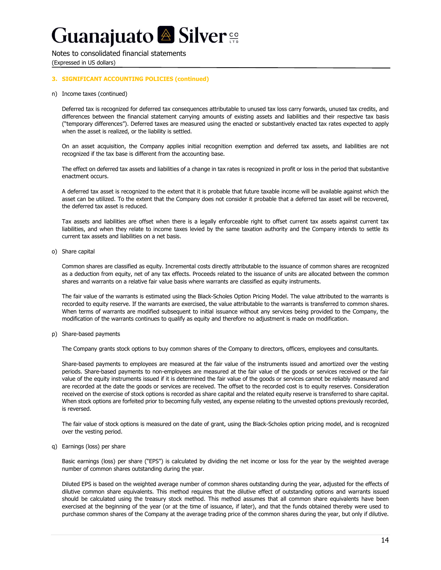Notes to consolidated financial statements (Expressed in US dollars)

### **3. SIGNIFICANT ACCOUNTING POLICIES (continued)**

n) Income taxes (continued)

Deferred tax is recognized for deferred tax consequences attributable to unused tax loss carry forwards, unused tax credits, and differences between the financial statement carrying amounts of existing assets and liabilities and their respective tax basis ("temporary differences"). Deferred taxes are measured using the enacted or substantively enacted tax rates expected to apply when the asset is realized, or the liability is settled.

On an asset acquisition, the Company applies initial recognition exemption and deferred tax assets, and liabilities are not recognized if the tax base is different from the accounting base.

The effect on deferred tax assets and liabilities of a change in tax rates is recognized in profit or loss in the period that substantive enactment occurs.

A deferred tax asset is recognized to the extent that it is probable that future taxable income will be available against which the asset can be utilized. To the extent that the Company does not consider it probable that a deferred tax asset will be recovered, the deferred tax asset is reduced.

Tax assets and liabilities are offset when there is a legally enforceable right to offset current tax assets against current tax liabilities, and when they relate to income taxes levied by the same taxation authority and the Company intends to settle its current tax assets and liabilities on a net basis.

o) Share capital

Common shares are classified as equity. Incremental costs directly attributable to the issuance of common shares are recognized as a deduction from equity, net of any tax effects. Proceeds related to the issuance of units are allocated between the common shares and warrants on a relative fair value basis where warrants are classified as equity instruments.

The fair value of the warrants is estimated using the Black-Scholes Option Pricing Model. The value attributed to the warrants is recorded to equity reserve. If the warrants are exercised, the value attributable to the warrants is transferred to common shares. When terms of warrants are modified subsequent to initial issuance without any services being provided to the Company, the modification of the warrants continues to qualify as equity and therefore no adjustment is made on modification.

p) Share-based payments

The Company grants stock options to buy common shares of the Company to directors, officers, employees and consultants.

Share-based payments to employees are measured at the fair value of the instruments issued and amortized over the vesting periods. Share-based payments to non-employees are measured at the fair value of the goods or services received or the fair value of the equity instruments issued if it is determined the fair value of the goods or services cannot be reliably measured and are recorded at the date the goods or services are received. The offset to the recorded cost is to equity reserves. Consideration received on the exercise of stock options is recorded as share capital and the related equity reserve is transferred to share capital. When stock options are forfeited prior to becoming fully vested, any expense relating to the unvested options previously recorded, is reversed.

The fair value of stock options is measured on the date of grant, using the Black-Scholes option pricing model, and is recognized over the vesting period.

q) Earnings (loss) per share

Basic earnings (loss) per share ("EPS") is calculated by dividing the net income or loss for the year by the weighted average number of common shares outstanding during the year.

Diluted EPS is based on the weighted average number of common shares outstanding during the year, adjusted for the effects of dilutive common share equivalents. This method requires that the dilutive effect of outstanding options and warrants issued should be calculated using the treasury stock method. This method assumes that all common share equivalents have been exercised at the beginning of the year (or at the time of issuance, if later), and that the funds obtained thereby were used to purchase common shares of the Company at the average trading price of the common shares during the year, but only if dilutive.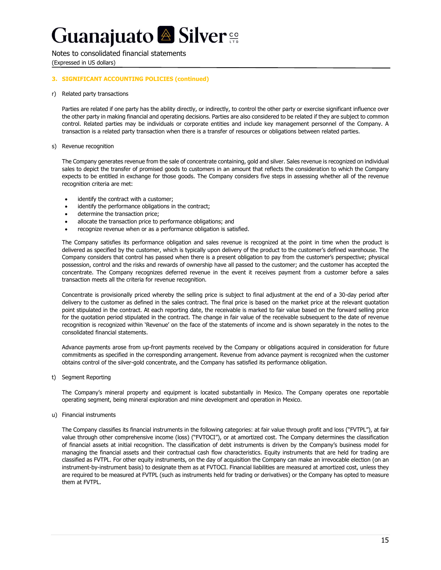Notes to consolidated financial statements (Expressed in US dollars)

### **3. SIGNIFICANT ACCOUNTING POLICIES (continued)**

#### r) Related party transactions

Parties are related if one party has the ability directly, or indirectly, to control the other party or exercise significant influence over the other party in making financial and operating decisions. Parties are also considered to be related if they are subject to common control. Related parties may be individuals or corporate entities and include key management personnel of the Company. A transaction is a related party transaction when there is a transfer of resources or obligations between related parties.

#### s) Revenue recognition

The Company generates revenue from the sale of concentrate containing, gold and silver. Sales revenue is recognized on individual sales to depict the transfer of promised goods to customers in an amount that reflects the consideration to which the Company expects to be entitled in exchange for those goods. The Company considers five steps in assessing whether all of the revenue recognition criteria are met:

- identify the contract with a customer;
- identify the performance obligations in the contract;
- determine the transaction price;
- allocate the transaction price to performance obligations; and
- recognize revenue when or as a performance obligation is satisfied.

The Company satisfies its performance obligation and sales revenue is recognized at the point in time when the product is delivered as specified by the customer, which is typically upon delivery of the product to the customer's defined warehouse. The Company considers that control has passed when there is a present obligation to pay from the customer's perspective; physical possession, control and the risks and rewards of ownership have all passed to the customer; and the customer has accepted the concentrate. The Company recognizes deferred revenue in the event it receives payment from a customer before a sales transaction meets all the criteria for revenue recognition.

Concentrate is provisionally priced whereby the selling price is subject to final adjustment at the end of a 30-day period after delivery to the customer as defined in the sales contract. The final price is based on the market price at the relevant quotation point stipulated in the contract. At each reporting date, the receivable is marked to fair value based on the forward selling price for the quotation period stipulated in the contract. The change in fair value of the receivable subsequent to the date of revenue recognition is recognized within 'Revenue' on the face of the statements of income and is shown separately in the notes to the consolidated financial statements.

Advance payments arose from up-front payments received by the Company or obligations acquired in consideration for future commitments as specified in the corresponding arrangement. Revenue from advance payment is recognized when the customer obtains control of the silver-gold concentrate, and the Company has satisfied its performance obligation.

t) Segment Reporting

The Company's mineral property and equipment is located substantially in Mexico. The Company operates one reportable operating segment, being mineral exploration and mine development and operation in Mexico.

#### u) Financial instruments

The Company classifies its financial instruments in the following categories: at fair value through profit and loss ("FVTPL"), at fair value through other comprehensive income (loss) ("FVTOCI"), or at amortized cost. The Company determines the classification of financial assets at initial recognition. The classification of debt instruments is driven by the Company's business model for managing the financial assets and their contractual cash flow characteristics. Equity instruments that are held for trading are classified as FVTPL. For other equity instruments, on the day of acquisition the Company can make an irrevocable election (on an instrument-by-instrument basis) to designate them as at FVTOCI. Financial liabilities are measured at amortized cost, unless they are required to be measured at FVTPL (such as instruments held for trading or derivatives) or the Company has opted to measure them at FVTPL.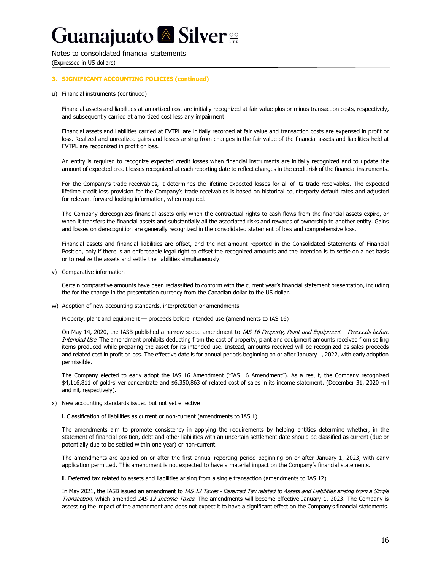Notes to consolidated financial statements (Expressed in US dollars)

### **3. SIGNIFICANT ACCOUNTING POLICIES (continued)**

#### u) Financial instruments (continued)

Financial assets and liabilities at amortized cost are initially recognized at fair value plus or minus transaction costs, respectively, and subsequently carried at amortized cost less any impairment.

Financial assets and liabilities carried at FVTPL are initially recorded at fair value and transaction costs are expensed in profit or loss. Realized and unrealized gains and losses arising from changes in the fair value of the financial assets and liabilities held at FVTPL are recognized in profit or loss.

An entity is required to recognize expected credit losses when financial instruments are initially recognized and to update the amount of expected credit losses recognized at each reporting date to reflect changes in the credit risk of the financial instruments.

For the Company's trade receivables, it determines the lifetime expected losses for all of its trade receivables. The expected lifetime credit loss provision for the Company's trade receivables is based on historical counterparty default rates and adjusted for relevant forward-looking information, when required.

The Company derecognizes financial assets only when the contractual rights to cash flows from the financial assets expire, or when it transfers the financial assets and substantially all the associated risks and rewards of ownership to another entity. Gains and losses on derecognition are generally recognized in the consolidated statement of loss and comprehensive loss.

Financial assets and financial liabilities are offset, and the net amount reported in the Consolidated Statements of Financial Position, only if there is an enforceable legal right to offset the recognized amounts and the intention is to settle on a net basis or to realize the assets and settle the liabilities simultaneously.

v) Comparative information

Certain comparative amounts have been reclassified to conform with the current year's financial statement presentation, including the for the change in the presentation currency from the Canadian dollar to the US dollar.

w) Adoption of new accounting standards, interpretation or amendments

Property, plant and equipment — proceeds before intended use (amendments to IAS 16)

On May 14, 2020, the IASB published a narrow scope amendment to IAS 16 Property, Plant and Equipment – Proceeds before Intended Use. The amendment prohibits deducting from the cost of property, plant and equipment amounts received from selling items produced while preparing the asset for its intended use. Instead, amounts received will be recognized as sales proceeds and related cost in profit or loss. The effective date is for annual periods beginning on or after January 1, 2022, with early adoption permissible.

The Company elected to early adopt the IAS 16 Amendment ("IAS 16 Amendment"). As a result, the Company recognized \$4,116,811 of gold-silver concentrate and \$6,350,863 of related cost of sales in its income statement. (December 31, 2020 -nil and nil, respectively).

x) New accounting standards issued but not yet effective

i. Classification of liabilities as current or non-current (amendments to IAS 1)

The amendments aim to promote consistency in applying the requirements by helping entities determine whether, in the statement of financial position, debt and other liabilities with an uncertain settlement date should be classified as current (due or potentially due to be settled within one year) or non-current.

The amendments are applied on or after the first annual reporting period beginning on or after January 1, 2023, with early application permitted. This amendment is not expected to have a material impact on the Company's financial statements.

ii. Deferred tax related to assets and liabilities arising from a single transaction (amendments to IAS 12)

In May 2021, the IASB issued an amendment to IAS 12 Taxes - Deferred Tax related to Assets and Liabilities arising from a Single Transaction, which amended IAS 12 Income Taxes. The amendments will become effective January 1, 2023. The Company is assessing the impact of the amendment and does not expect it to have a significant effect on the Company's financial statements.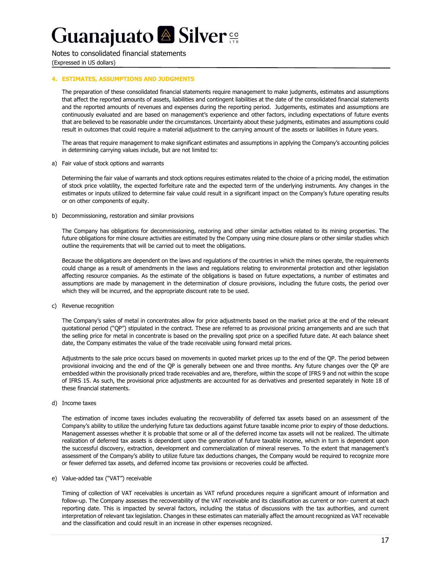Notes to consolidated financial statements (Expressed in US dollars)

### **4. ESTIMATES, ASSUMPTIONS AND JUDGMENTS**

The preparation of these consolidated financial statements require management to make judgments, estimates and assumptions that affect the reported amounts of assets, liabilities and contingent liabilities at the date of the consolidated financial statements and the reported amounts of revenues and expenses during the reporting period. Judgements, estimates and assumptions are continuously evaluated and are based on management's experience and other factors, including expectations of future events that are believed to be reasonable under the circumstances. Uncertainty about these judgments, estimates and assumptions could result in outcomes that could require a material adjustment to the carrying amount of the assets or liabilities in future years.

The areas that require management to make significant estimates and assumptions in applying the Company's accounting policies in determining carrying values include, but are not limited to:

a) Fair value of stock options and warrants

Determining the fair value of warrants and stock options requires estimates related to the choice of a pricing model, the estimation of stock price volatility, the expected forfeiture rate and the expected term of the underlying instruments. Any changes in the estimates or inputs utilized to determine fair value could result in a significant impact on the Company's future operating results or on other components of equity.

b) Decommissioning, restoration and similar provisions

The Company has obligations for decommissioning, restoring and other similar activities related to its mining properties. The future obligations for mine closure activities are estimated by the Company using mine closure plans or other similar studies which outline the requirements that will be carried out to meet the obligations.

Because the obligations are dependent on the laws and regulations of the countries in which the mines operate, the requirements could change as a result of amendments in the laws and regulations relating to environmental protection and other legislation affecting resource companies. As the estimate of the obligations is based on future expectations, a number of estimates and assumptions are made by management in the determination of closure provisions, including the future costs, the period over which they will be incurred, and the appropriate discount rate to be used.

c) Revenue recognition

The Company's sales of metal in concentrates allow for price adjustments based on the market price at the end of the relevant quotational period ("QP") stipulated in the contract. These are referred to as provisional pricing arrangements and are such that the selling price for metal in concentrate is based on the prevailing spot price on a specified future date. At each balance sheet date, the Company estimates the value of the trade receivable using forward metal prices.

Adjustments to the sale price occurs based on movements in quoted market prices up to the end of the QP. The period between provisional invoicing and the end of the QP is generally between one and three months. Any future changes over the QP are embedded within the provisionally priced trade receivables and are, therefore, within the scope of IFRS 9 and not within the scope of IFRS 15. As such, the provisional price adjustments are accounted for as derivatives and presented separately in Note 18 of these financial statements.

d) Income taxes

The estimation of income taxes includes evaluating the recoverability of deferred tax assets based on an assessment of the Company's ability to utilize the underlying future tax deductions against future taxable income prior to expiry of those deductions. Management assesses whether it is probable that some or all of the deferred income tax assets will not be realized. The ultimate realization of deferred tax assets is dependent upon the generation of future taxable income, which in turn is dependent upon the successful discovery, extraction, development and commercialization of mineral reserves. To the extent that management's assessment of the Company's ability to utilize future tax deductions changes, the Company would be required to recognize more or fewer deferred tax assets, and deferred income tax provisions or recoveries could be affected.

e) Value-added tax ("VAT") receivable

Timing of collection of VAT receivables is uncertain as VAT refund procedures require a significant amount of information and follow-up. The Company assesses the recoverability of the VAT receivable and its classification as current or non- current at each reporting date. This is impacted by several factors, including the status of discussions with the tax authorities, and current interpretation of relevant tax legislation. Changes in these estimates can materially affect the amount recognized as VAT receivable and the classification and could result in an increase in other expenses recognized.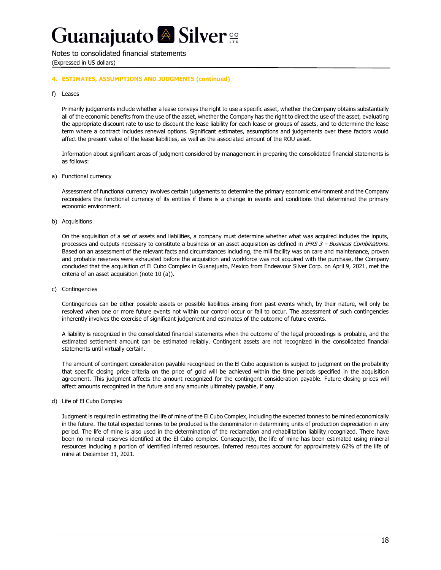Notes to consolidated financial statements (Expressed in US dollars)

### **4. ESTIMATES, ASSUMPTIONS AND JUDGMENTS (continued)**

#### f) Leases

Primarily judgements include whether a lease conveys the right to use a specific asset, whether the Company obtains substantially all of the economic benefits from the use of the asset, whether the Company has the right to direct the use of the asset, evaluating the appropriate discount rate to use to discount the lease liability for each lease or groups of assets, and to determine the lease term where a contract includes renewal options. Significant estimates, assumptions and judgements over these factors would affect the present value of the lease liabilities, as well as the associated amount of the ROU asset.

Information about significant areas of judgment considered by management in preparing the consolidated financial statements is as follows:

#### a) Functional currency

Assessment of functional currency involves certain judgements to determine the primary economic environment and the Company reconsiders the functional currency of its entities if there is a change in events and conditions that determined the primary economic environment.

#### b) Acquisitions

On the acquisition of a set of assets and liabilities, a company must determine whether what was acquired includes the inputs, processes and outputs necessary to constitute a business or an asset acquisition as defined in IFRS 3 - Business Combinations. Based on an assessment of the relevant facts and circumstances including, the mill facility was on care and maintenance, proven and probable reserves were exhausted before the acquisition and workforce was not acquired with the purchase, the Company concluded that the acquisition of El Cubo Complex in Guanajuato, Mexico from Endeavour Silver Corp. on April 9, 2021, met the criteria of an asset acquisition (note 10 (a)).

#### c) Contingencies

Contingencies can be either possible assets or possible liabilities arising from past events which, by their nature, will only be resolved when one or more future events not within our control occur or fail to occur. The assessment of such contingencies inherently involves the exercise of significant judgement and estimates of the outcome of future events.

A liability is recognized in the consolidated financial statements when the outcome of the legal proceedings is probable, and the estimated settlement amount can be estimated reliably. Contingent assets are not recognized in the consolidated financial statements until virtually certain.

The amount of contingent consideration payable recognized on the El Cubo acquisition is subject to judgment on the probability that specific closing price criteria on the price of gold will be achieved within the time periods specified in the acquisition agreement. This judgment affects the amount recognized for the contingent consideration payable. Future closing prices will affect amounts recognized in the future and any amounts ultimately payable, if any.

#### d) Life of El Cubo Complex

Judgment is required in estimating the life of mine of the El Cubo Complex, including the expected tonnes to be mined economically in the future. The total expected tonnes to be produced is the denominator in determining units of production depreciation in any period. The life of mine is also used in the determination of the reclamation and rehabilitation liability recognized. There have been no mineral reserves identified at the El Cubo complex. Consequently, the life of mine has been estimated using mineral resources including a portion of identified inferred resources. Inferred resources account for approximately 62% of the life of mine at December 31, 2021.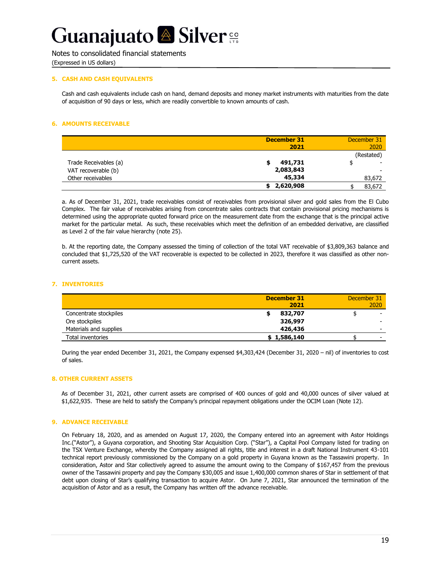Notes to consolidated financial statements

(Expressed in US dollars)

### **5. CASH AND CASH EQUIVALENTS**

Cash and cash equivalents include cash on hand, demand deposits and money market instruments with maturities from the date of acquisition of 90 days or less, which are readily convertible to known amounts of cash.

### **6. AMOUNTS RECEIVABLE**

|                       | <b>December 31</b><br>2021 | December 31<br>2020      |
|-----------------------|----------------------------|--------------------------|
|                       |                            | (Restated)               |
| Trade Receivables (a) | 491,731                    | $\overline{\phantom{a}}$ |
| VAT recoverable (b)   | 2,083,843                  | $\overline{\phantom{a}}$ |
| Other receivables     | 45,334                     | 83,672                   |
|                       | 2,620,908<br>\$            | 83,672                   |

a. As of December 31, 2021, trade receivables consist of receivables from provisional silver and gold sales from the El Cubo Complex. The fair value of receivables arising from concentrate sales contracts that contain provisional pricing mechanisms is determined using the appropriate quoted forward price on the measurement date from the exchange that is the principal active market for the particular metal. As such, these receivables which meet the definition of an embedded derivative, are classified as Level 2 of the fair value hierarchy (note 25).

b. At the reporting date, the Company assessed the timing of collection of the total VAT receivable of \$3,809,363 balance and concluded that \$1,725,520 of the VAT recoverable is expected to be collected in 2023, therefore it was classified as other noncurrent assets.

### **7. INVENTORIES**

|                        | <b>December 31</b><br>2021 | December 31<br>2020      |
|------------------------|----------------------------|--------------------------|
| Concentrate stockpiles | 832,707                    | $\overline{\phantom{a}}$ |
| Ore stockpiles         | 326,997                    | -                        |
| Materials and supplies | 426,436                    | -                        |
| Total inventories      | \$1,586,140                | -                        |

During the year ended December 31, 2021, the Company expensed \$4,303,424 (December 31, 2020 – nil) of inventories to cost of sales.

### **8. OTHER CURRENT ASSETS**

As of December 31, 2021, other current assets are comprised of 400 ounces of gold and 40,000 ounces of silver valued at \$1,622,935. These are held to satisfy the Company's principal repayment obligations under the OCIM Loan (Note 12).

#### **9. ADVANCE RECEIVABLE**

On February 18, 2020, and as amended on August 17, 2020, the Company entered into an agreement with Astor Holdings Inc.("Astor"), a Guyana corporation, and Shooting Star Acquisition Corp. ("Star"), a Capital Pool Company listed for trading on the TSX Venture Exchange, whereby the Company assigned all rights, title and interest in a draft National Instrument 43-101 technical report previously commissioned by the Company on a gold property in Guyana known as the Tassawini property. In consideration, Astor and Star collectively agreed to assume the amount owing to the Company of \$167,457 from the previous owner of the Tassawini property and pay the Company \$30,005 and issue 1,400,000 common shares of Star in settlement of that debt upon closing of Star's qualifying transaction to acquire Astor. On June 7, 2021, Star announced the termination of the acquisition of Astor and as a result, the Company has written off the advance receivable.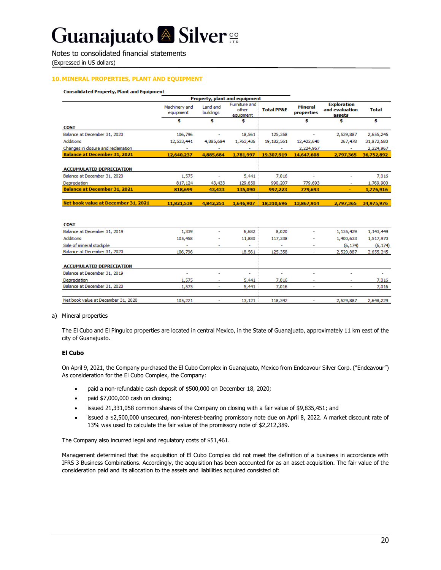Notes to consolidated financial statements (Expressed in US dollars)

### **10. MINERAL PROPERTIES, PLANT AND EQUIPMENT**

#### **Consolidated Property, Plant and Equipment**

|                                     |                            |                       | Property, plant and equipment       |                       |                              |                                                |              |
|-------------------------------------|----------------------------|-----------------------|-------------------------------------|-----------------------|------------------------------|------------------------------------------------|--------------|
|                                     | Machinery and<br>equipment | Land and<br>buildings | Furniture and<br>other<br>equipment | <b>Total PP&amp;E</b> | <b>Mineral</b><br>properties | <b>Exploration</b><br>and evaluation<br>assets | <b>Total</b> |
|                                     | \$                         | \$                    |                                     |                       | \$                           |                                                | \$           |
| <b>COST</b>                         |                            |                       |                                     |                       |                              |                                                |              |
| Balance at December 31, 2020        | 106,796                    |                       | 18,561                              | 125,358               |                              | 2,529,887                                      | 2,655,245    |
| <b>Additions</b>                    | 12,533,441                 | 4,885,684             | 1,763,436                           | 19, 182, 561          | 12,422,640                   | 267,478                                        | 31,872,680   |
| Changes in closure and reclamation  | ۰                          | ۰                     | ۰                                   | ٠                     | 2,224,967                    | ٠                                              | 2,224,967    |
| <b>Balance at December 31, 2021</b> | 12,640,237                 | 4,885,684             | 1,781,997                           | 19,307,919            | 14,647,608                   | 2,797,365                                      | 36,752,892   |
|                                     |                            |                       |                                     |                       |                              |                                                |              |
| <b>ACCUMULATED DEPRECIATION</b>     |                            |                       |                                     |                       |                              |                                                |              |
| Balance at December 31, 2020        | 1,575                      | ٠                     | 5,441                               | 7,016                 | ÷                            | ۰                                              | 7,016        |
| Depreciation                        | 817,124                    | 43,433                | 129,650                             | 990,207               | 779,693                      | $\sim$                                         | 1,769,900    |
| <b>Balance at December 31, 2021</b> | 818,699                    | 43,433                | 135,090                             | 997,223               | 779,693                      |                                                | 1,776,916    |
|                                     |                            |                       |                                     |                       |                              |                                                |              |
| Net book value at December 31, 2021 | 11.821.538                 | 4.842.251             | 1.646.907                           | 18,310,696            | 13,867,914                   | 2,797,365                                      | 34,975,976   |
|                                     |                            |                       |                                     |                       |                              |                                                |              |

| <b>COST</b>                         |         |                          |                          |         |                          |           |                          |
|-------------------------------------|---------|--------------------------|--------------------------|---------|--------------------------|-----------|--------------------------|
| Balance at December 31, 2019        | 1,339   |                          | 6,682                    | 8,020   | ۰                        | 1,135,429 | 1,143,449                |
| <b>Additions</b>                    | 105,458 |                          | 11,880                   | 117,338 | ۰                        | 1,400,633 | 1,517,970                |
| Sale of mineral stockpile           | ٠       | ٠                        | $\overline{\phantom{a}}$ | $\sim$  | $\overline{\phantom{a}}$ | (6, 174)  | (6, 174)                 |
| Balance at December 31, 2020        | 106,796 | $\overline{\phantom{a}}$ | 18.561                   | 125,358 |                          | 2,529,887 | 2,655,245                |
|                                     |         |                          |                          |         |                          |           |                          |
| <b>ACCUMULATED DEPRECIATION</b>     |         |                          |                          |         |                          |           |                          |
| Balance at December 31, 2019        | ۰       | ۰                        | $\overline{\phantom{a}}$ | ۰       | $\overline{\phantom{a}}$ | ۰         | $\overline{\phantom{a}}$ |
| Depreciation                        | 1,575   |                          | 5,441                    | 7,016   | ۰                        |           | 7,016                    |
| Balance at December 31, 2020        | 1,575   |                          | 5,441                    | 7,016   |                          | $\sim$    | 7,016                    |
|                                     |         |                          |                          |         |                          |           |                          |
| Net book value at December 31, 2020 | 105,221 |                          | 13,121                   | 118,342 |                          | 2,529,887 | 2,648,229                |

#### a) Mineral properties

The El Cubo and El Pinguico properties are located in central Mexico, in the State of Guanajuato, approximately 11 km east of the city of Guanajuato.

#### **El Cubo**

On April 9, 2021, the Company purchased the El Cubo Complex in Guanajuato, Mexico from Endeavour Silver Corp. ("Endeavour") As consideration for the El Cubo Complex, the Company:

- paid a non-refundable cash deposit of \$500,000 on December 18, 2020;
- paid \$7,000,000 cash on closing;
- issued 21,331,058 common shares of the Company on closing with a fair value of \$9,835,451; and
- issued a \$2,500,000 unsecured, non-interest-bearing promissory note due on April 8, 2022. A market discount rate of 13% was used to calculate the fair value of the promissory note of \$2,212,389.

The Company also incurred legal and regulatory costs of \$51,461.

Management determined that the acquisition of El Cubo Complex did not meet the definition of a business in accordance with IFRS 3 Business Combinations. Accordingly, the acquisition has been accounted for as an asset acquisition. The fair value of the consideration paid and its allocation to the assets and liabilities acquired consisted of: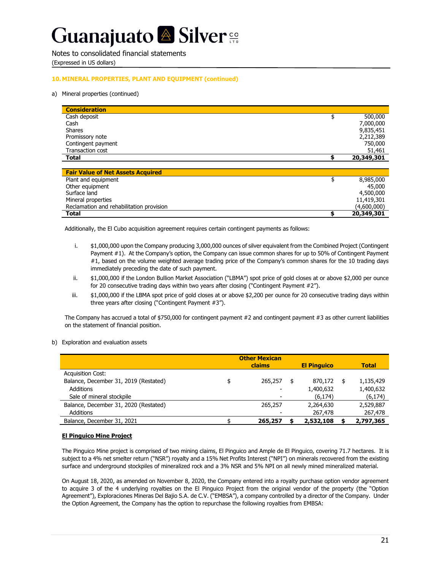Notes to consolidated financial statements (Expressed in US dollars)

### **10. MINERAL PROPERTIES, PLANT AND EQUIPMENT (continued)**

### a) Mineral properties (continued)

| <b>Consideration</b> |            |
|----------------------|------------|
| Cash deposit         | 500,000    |
| Cash                 | 7,000,000  |
| <b>Shares</b>        | 9,835,451  |
| Promissory note      | 2,212,389  |
| Contingent payment   | 750,000    |
| Transaction cost     | 51,461     |
| <b>Total</b>         | 20,349,301 |

| <b>Fair Value of Net Assets Acquired</b> |             |
|------------------------------------------|-------------|
| Plant and equipment                      | 8,985,000   |
| Other equipment                          | 45,000      |
| Surface land                             | 4,500,000   |
| Mineral properties                       | 11,419,301  |
| Reclamation and rehabilitation provision | (4,600,000) |
| Total                                    | 20,349,301  |

Additionally, the El Cubo acquisition agreement requires certain contingent payments as follows:

- i. \$1,000,000 upon the Company producing 3,000,000 ounces of silver equivalent from the Combined Project (Contingent Payment #1). At the Company's option, the Company can issue common shares for up to 50% of Contingent Payment #1, based on the volume weighted average trading price of the Company's common shares for the 10 trading days immediately preceding the date of such payment.
- ii. \$1,000,000 if the London Bullion Market Association ("LBMA") spot price of gold closes at or above \$2,000 per ounce for 20 consecutive trading days within two years after closing ("Contingent Payment #2").
- iii.  $$1,000,000$  if the LBMA spot price of gold closes at or above \$2,200 per ounce for 20 consecutive trading days within three years after closing ("Contingent Payment #3").

The Company has accrued a total of \$750,000 for contingent payment #2 and contingent payment #3 as other current liabilities on the statement of financial position.

#### b) Exploration and evaluation assets

|                                             | <b>Other Mexican</b><br>claims<br><b>El Pinguico</b> |    |           |  | <b>Total</b> |
|---------------------------------------------|------------------------------------------------------|----|-----------|--|--------------|
| <b>Acquisition Cost:</b>                    |                                                      |    |           |  |              |
| Balance, December 31, 2019 (Restated)<br>\$ | 265,257                                              | \$ | 870,172   |  | 1,135,429    |
| <b>Additions</b>                            |                                                      |    | 1,400,632 |  | 1,400,632    |
| Sale of mineral stockpile                   |                                                      |    | (6, 174)  |  | (6, 174)     |
| Balance, December 31, 2020 (Restated)       | 265,257                                              |    | 2,264,630 |  | 2,529,887    |
| <b>Additions</b>                            |                                                      |    | 267,478   |  | 267,478      |
| Balance, December 31, 2021                  | 265,257                                              |    | 2,532,108 |  | 2,797,365    |

#### **El Pinguico Mine Project**

The Pinguico Mine project is comprised of two mining claims, El Pinguico and Ample de El Pinguico, covering 71.7 hectares. It is subject to a 4% net smelter return ("NSR") royalty and a 15% Net Profits Interest ("NPI") on minerals recovered from the existing surface and underground stockpiles of mineralized rock and a 3% NSR and 5% NPI on all newly mined mineralized material.

On August 18, 2020, as amended on November 8, 2020, the Company entered into a royalty purchase option vendor agreement to acquire 3 of the 4 underlying royalties on the El Pinguico Project from the original vendor of the property (the "Option Agreement"), Exploraciones Mineras Del Bajio S.A. de C.V. ("EMBSA"), a company controlled by a director of the Company. Under the Option Agreement, the Company has the option to repurchase the following royalties from EMBSA: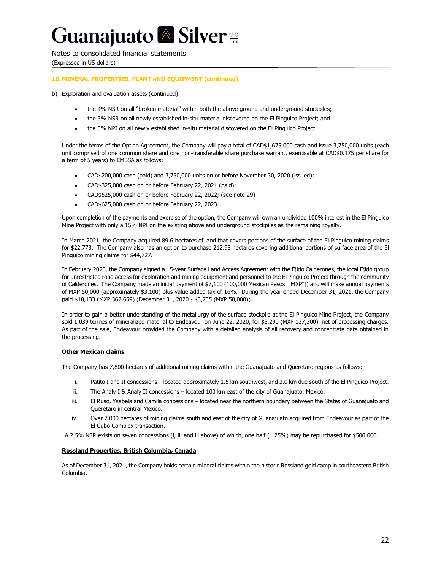Notes to consolidated financial statements (Expressed in US dollars)

### **10. MINERAL PROPERTIES, PLANT AND EQUIPMENT (continued)**

- b) Exploration and evaluation assets (continued)
	- the 4% NSR on all "broken material" within both the above ground and underground stockpiles;
	- the 3% NSR on all newly established in-situ material discovered on the El Pinguico Project; and
	- the 5% NPI on all newly established in-situ material discovered on the El Pinguico Project.

Under the terms of the Option Agreement, the Company will pay a total of CAD\$1,675,000 cash and issue 3,750,000 units (each unit comprised of one common share and one non-transferable share purchase warrant, exercisable at CAD\$0.175 per share for a term of 5 years) to EMBSA as follows:

- CAD\$200,000 cash (paid) and 3,750,000 units on or before November 30, 2020 (issued);
- CAD\$325,000 cash on or before February 22, 2021 (paid);
- CAD\$525,000 cash on or before February 22, 2022; (see note 29)
- CAD\$625,000 cash on or before February 22, 2023.

Upon completion of the payments and exercise of the option, the Company will own an undivided 100% interest in the El Pinguico Mine Project with only a 15% NPI on the existing above and underground stockpiles as the remaining royalty.

In March 2021, the Company acquired 89.6 hectares of land that covers portions of the surface of the El Pinguico mining claims for \$22,773. The Company also has an option to purchase 212.98 hectares covering additional portions of surface area of the El Pinguico mining claims for \$44,727.

In February 2020, the Company signed a 15-year Surface Land Access Agreement with the Ejido Calderones, the local Ejido group for unrestricted road access for exploration and mining equipment and personnel to the El Pinguico Project through the community of Calderones. The Company made an initial payment of \$7,100 (100,000 Mexican Pesos ["MXP"]) and will make annual payments of MXP 50,000 (approximately \$3,100) plus value added tax of 16%. During the year ended December 31, 2021, the Company paid \$18,133 (MXP 362,659) (December 31, 2020 - \$3,735 (MXP 58,000)).

In order to gain a better understanding of the metallurgy of the surface stockpile at the El Pinguico Mine Project, the Company sold 1,039 tonnes of mineralized material to Endeavour on June 22, 2020, for \$8,290 (MXP 137,300), net of processing charges. As part of the sale, Endeavour provided the Company with a detailed analysis of all recovery and concentrate data obtained in the processing.

#### **Other Mexican claims**

The Company has 7,800 hectares of additional mining claims within the Guanajuato and Queretaro regions as follows:

- i. Patito I and II concessions located approximately 1.5 km southwest, and 3.0 km due south of the El Pinguico Project.
- ii. The Analy I & Analy II concessions located 100 km east of the city of Guanajuato, Mexico.
- iii. El Ruso, Ysabela and Camila concessions located near the northern boundary between the States of Guanajuato and Queretaro in central Mexico.
- iv. Over 7,000 hectares of mining claims south and east of the city of Guanajuato acquired from Endeavour as part of the El Cubo Complex transaction.

A 2.5% NSR exists on seven concessions (i, ii, and iii above) of which, one half (1.25%) may be repurchased for \$500,000.

#### **Rossland Properties, British Columbia, Canada**

As of December 31, 2021, the Company holds certain mineral claims within the historic Rossland gold camp in southeastern British Columbia.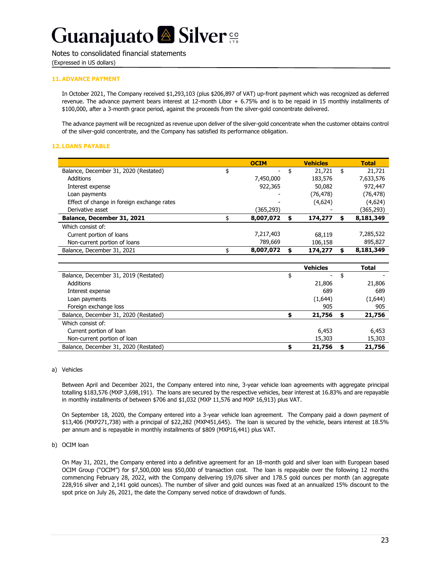Notes to consolidated financial statements

(Expressed in US dollars)

### **11.ADVANCE PAYMENT**

In October 2021, The Company received \$1,293,103 (plus \$206,897 of VAT) up-front payment which was recognized as deferred revenue. The advance payment bears interest at 12-month Libor + 6.75% and is to be repaid in 15 monthly installments of \$100,000, after a 3-month grace period, against the proceeds from the silver-gold concentrate delivered.

The advance payment will be recognized as revenue upon deliver of the silver-gold concentrate when the customer obtains control of the silver-gold concentrate, and the Company has satisfied its performance obligation.

### **12. LOANS PAYABLE**

|                                            | <b>OCIM</b> | <b>Vehicles</b> |    | <b>Total</b> |
|--------------------------------------------|-------------|-----------------|----|--------------|
| Balance, December 31, 2020 (Restated)      | \$<br>۰     | 21,721          | \$ | 21,721       |
| Additions                                  | 7,450,000   | 183,576         |    | 7,633,576    |
| Interest expense                           | 922,365     | 50,082          |    | 972,447      |
| Loan payments                              |             | (76, 478)       |    | (76, 478)    |
| Effect of change in foreign exchange rates |             | (4,624)         |    | (4,624)      |
| Derivative asset                           | (365,293)   |                 |    | (365,293)    |
| Balance, December 31, 2021                 | 8,007,072   | 174,277         | S  | 8,181,349    |
| Which consist of:                          |             |                 |    |              |
| Current portion of loans                   | 7,217,403   | 68,119          |    | 7,285,522    |
| Non-current portion of loans               | 789,669     | 106,158         |    | 895,827      |
| Balance, December 31, 2021                 | 8,007,072   | 174,277         |    | 8,181,349    |

|                                       | <b>Vehicles</b> | <b>Total</b> |
|---------------------------------------|-----------------|--------------|
| Balance, December 31, 2019 (Restated) | -               |              |
| <b>Additions</b>                      | 21,806          | 21,806       |
| Interest expense                      | 689             | 689          |
| Loan payments                         | (1,644)         | (1,644)      |
| Foreign exchange loss                 | 905             | 905          |
| Balance, December 31, 2020 (Restated) | 21,756          | \$<br>21,756 |
| Which consist of:                     |                 |              |
| Current portion of loan               | 6,453           | 6,453        |
| Non-current portion of loan           | 15,303          | 15,303       |
| Balance, December 31, 2020 (Restated) | 21,756          | 21,756       |

#### a) Vehicles

Between April and December 2021, the Company entered into nine, 3-year vehicle loan agreements with aggregate principal totalling \$183,576 (MXP 3,698,191). The loans are secured by the respective vehicles, bear interest at 16.83% and are repayable in monthly installments of between \$706 and \$1,032 (MXP 11,576 and MXP 16,913) plus VAT.

On September 18, 2020, the Company entered into a 3-year vehicle loan agreement. The Company paid a down payment of \$13,406 (MXP271,738) with a principal of \$22,282 (MXP451,645). The loan is secured by the vehicle, bears interest at 18.5% per annum and is repayable in monthly installments of \$809 (MXP16,441) plus VAT.

### b) OCIM loan

On May 31, 2021, the Company entered into a definitive agreement for an 18-month gold and silver loan with European based OCIM Group ("OCIM") for \$7,500,000 less \$50,000 of transaction cost. The loan is repayable over the following 12 months commencing February 28, 2022, with the Company delivering 19,076 silver and 178.5 gold ounces per month (an aggregate 228,916 silver and 2,141 gold ounces). The number of silver and gold ounces was fixed at an annualized 15% discount to the spot price on July 26, 2021, the date the Company served notice of drawdown of funds.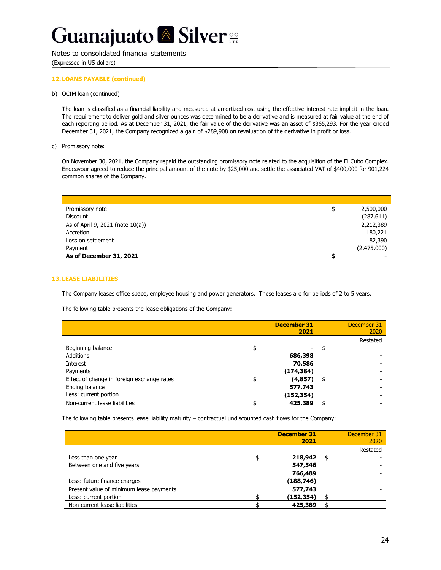Notes to consolidated financial statements (Expressed in US dollars)

### **12. LOANS PAYABLE (continued)**

#### b) OCIM loan (continued)

The loan is classified as a financial liability and measured at amortized cost using the effective interest rate implicit in the loan. The requirement to deliver gold and silver ounces was determined to be a derivative and is measured at fair value at the end of each reporting period. As at December 31, 2021, the fair value of the derivative was an asset of \$365,293. For the year ended December 31, 2021, the Company recognized a gain of \$289,908 on revaluation of the derivative in profit or loss.

#### c) Promissory note:

On November 30, 2021, the Company repaid the outstanding promissory note related to the acquisition of the El Cubo Complex. Endeavour agreed to reduce the principal amount of the note by \$25,000 and settle the associated VAT of \$400,000 for 901,224 common shares of the Company.

| Promissory note                  | 2,500,000   |
|----------------------------------|-------------|
| <b>Discount</b>                  | (287, 611)  |
| As of April 9, 2021 (note 10(a)) | 2,212,389   |
| Accretion                        | 180,221     |
| Loss on settlement               | 82,390      |
| Payment                          | (2,475,000) |
| As of December 31, 2021          |             |

#### **13. LEASE LIABILITIES**

The Company leases office space, employee housing and power generators. These leases are for periods of 2 to 5 years.

The following table presents the lease obligations of the Company:

|                                            |    | <b>December 31</b><br>2021 | December 31<br>2020 |
|--------------------------------------------|----|----------------------------|---------------------|
|                                            |    |                            | Restated            |
| Beginning balance                          | \$ | ۰                          | \$                  |
| <b>Additions</b>                           |    | 686,398                    |                     |
| Interest                                   |    | 70,586                     |                     |
| Payments                                   |    | (174, 384)                 |                     |
| Effect of change in foreign exchange rates | ፍ  | (4, 857)                   |                     |
| Ending balance                             |    | 577,743                    |                     |
| Less: current portion                      |    | (152,354)                  |                     |
| Non-current lease liabilities              |    | 425,389                    |                     |

The following table presents lease liability maturity – contractual undiscounted cash flows for the Company:

|                                         | <b>December 31</b><br>2021 | December 31<br>2020 |
|-----------------------------------------|----------------------------|---------------------|
|                                         |                            | Restated            |
| Less than one year                      | \$<br>218,942              | \$                  |
| Between one and five years              | 547,546                    |                     |
|                                         | 766,489                    |                     |
| Less: future finance charges            | (188,746)                  |                     |
| Present value of minimum lease payments | 577,743                    |                     |
| Less: current portion                   | (152,354)                  |                     |
| Non-current lease liabilities           | 425,389                    |                     |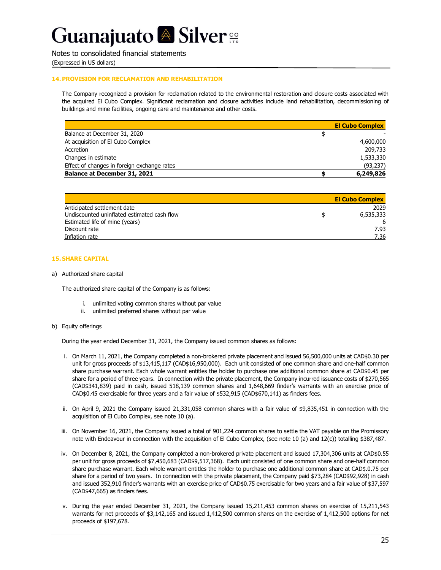Notes to consolidated financial statements

(Expressed in US dollars)

## **14. PROVISION FOR RECLAMATION AND REHABILITATION**

The Company recognized a provision for reclamation related to the environmental restoration and closure costs associated with the acquired El Cubo Complex. Significant reclamation and closure activities include land rehabilitation, decommissioning of buildings and mine facilities, ongoing care and maintenance and other costs.

|                                             | <b>El Cubo Complex</b> |
|---------------------------------------------|------------------------|
| Balance at December 31, 2020                |                        |
| At acquisition of El Cubo Complex           | 4,600,000              |
| Accretion                                   | 209,733                |
| Changes in estimate                         | 1,533,330              |
| Effect of changes in foreign exchange rates | (93, 237)              |
| <b>Balance at December 31, 2021</b>         | 6,249,826              |

|                                             | <b>El Cubo Complex</b> |
|---------------------------------------------|------------------------|
| Anticipated settlement date                 | 2029                   |
| Undiscounted uninflated estimated cash flow | 6,535,333              |
| Estimated life of mine (years)              | 6                      |
| Discount rate                               | 7.93                   |
| Inflation rate                              | 7.36                   |

### **15. SHARE CAPITAL**

a) Authorized share capital

The authorized share capital of the Company is as follows:

- i. unlimited voting common shares without par value
- ii. unlimited preferred shares without par value
- b) Equity offerings

During the year ended December 31, 2021, the Company issued common shares as follows:

- i. On March 11, 2021, the Company completed a non-brokered private placement and issued 56,500,000 units at CAD\$0.30 per unit for gross proceeds of \$13,415,117 (CAD\$16,950,000). Each unit consisted of one common share and one-half common share purchase warrant. Each whole warrant entitles the holder to purchase one additional common share at CAD\$0.45 per share for a period of three years. In connection with the private placement, the Company incurred issuance costs of \$270,565 (CAD\$341,839) paid in cash, issued 518,139 common shares and 1,648,669 finder's warrants with an exercise price of CAD\$0.45 exercisable for three years and a fair value of \$532,915 (CAD\$670,141) as finders fees.
- ii. On April 9, 2021 the Company issued 21,331,058 common shares with a fair value of \$9,835,451 in connection with the acquisition of El Cubo Complex, see note 10 (a).
- iii. On November 16, 2021, the Company issued a total of 901,224 common shares to settle the VAT payable on the Promissory note with Endeavour in connection with the acquisition of El Cubo Complex, (see note 10 (a) and 12(c)) totalling \$387,487.
- iv. On December 8, 2021, the Company completed a non-brokered private placement and issued 17,304,306 units at CAD\$0.55 per unit for gross proceeds of \$7,450,683 (CAD\$9,517,368). Each unit consisted of one common share and one-half common share purchase warrant. Each whole warrant entitles the holder to purchase one additional common share at CAD\$.0.75 per share for a period of two years. In connection with the private placement, the Company paid \$73,284 (CAD\$92,928) in cash and issued 352,910 finder's warrants with an exercise price of CAD\$0.75 exercisable for two years and a fair value of \$37,597 (CAD\$47,665) as finders fees.
- v. During the year ended December 31, 2021, the Company issued 15,211,453 common shares on exercise of 15,211,543 warrants for net proceeds of \$3,142,165 and issued 1,412,500 common shares on the exercise of 1,412,500 options for net proceeds of \$197,678.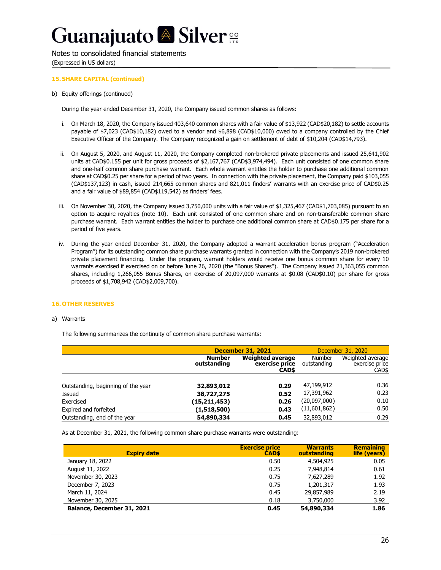Notes to consolidated financial statements (Expressed in US dollars)

### **15. SHARE CAPITAL (continued)**

b) Equity offerings (continued)

During the year ended December 31, 2020, the Company issued common shares as follows:

- i. On March 18, 2020, the Company issued 403,640 common shares with a fair value of \$13,922 (CAD\$20,182) to settle accounts payable of \$7,023 (CAD\$10,182) owed to a vendor and \$6,898 (CAD\$10,000) owed to a company controlled by the Chief Executive Officer of the Company. The Company recognized a gain on settlement of debt of \$10,204 (CAD\$14,793).
- ii. On August 5, 2020, and August 11, 2020, the Company completed non-brokered private placements and issued 25,641,902 units at CAD\$0.155 per unit for gross proceeds of \$2,167,767 (CAD\$3,974,494). Each unit consisted of one common share and one-half common share purchase warrant. Each whole warrant entitles the holder to purchase one additional common share at CAD\$0.25 per share for a period of two years. In connection with the private placement, the Company paid \$103,055 (CAD\$137,123) in cash, issued 214,665 common shares and 821,011 finders' warrants with an exercise price of CAD\$0.25 and a fair value of \$89,854 (CAD\$119,542) as finders' fees.
- iii. On November 30, 2020, the Company issued 3,750,000 units with a fair value of \$1,325,467 (CAD\$1,703,085) pursuant to an option to acquire royalties (note 10). Each unit consisted of one common share and on non-transferable common share purchase warrant. Each warrant entitles the holder to purchase one additional common share at CAD\$0.175 per share for a period of five years.
- iv. During the year ended December 31, 2020, the Company adopted a warrant acceleration bonus program ("Acceleration Program") for its outstanding common share purchase warrants granted in connection with the Company's 2019 non-brokered private placement financing. Under the program, warrant holders would receive one bonus common share for every 10 warrants exercised if exercised on or before June 26, 2020 (the "Bonus Shares"). The Company issued 21,363,055 common shares, including 1,266,055 Bonus Shares, on exercise of 20,097,000 warrants at \$0.08 (CAD\$0.10) per share for gross proceeds of \$1,708,942 (CAD\$2,009,700).

#### **16. OTHER RESERVES**

a) Warrants

The following summarizes the continuity of common share purchase warrants:

|                                    | <b>December 31, 2021</b>     | December 31, 2020                                  |                              |                                             |
|------------------------------------|------------------------------|----------------------------------------------------|------------------------------|---------------------------------------------|
|                                    | <b>Number</b><br>outstanding | <b>Weighted average</b><br>exercise price<br>CAD\$ | <b>Number</b><br>outstanding | Weighted average<br>exercise price<br>CAD\$ |
| Outstanding, beginning of the year | 32,893,012                   | 0.29                                               | 47,199,912                   | 0.36                                        |
| Issued                             | 38,727,275                   | 0.52                                               | 17,391,962                   | 0.23                                        |
| Exercised                          | (15, 211, 453)               | 0.26                                               | (20,097,000)                 | 0.10                                        |
| Expired and forfeited              | (1,518,500)                  | 0.43                                               | (11,601,862)                 | 0.50                                        |
| Outstanding, end of the year       | 54,890,334                   | 0.45                                               | 32,893,012                   | 0.29                                        |

As at December 31, 2021, the following common share purchase warrants were outstanding:

| <b>Expiry date</b>         | <b>Exercise price</b><br>CAD\$ | <b>Warrants</b><br>outstanding | <b>Remaining</b><br>life (years) |
|----------------------------|--------------------------------|--------------------------------|----------------------------------|
| January 18, 2022           | 0.50                           | 4,504,925                      | 0.05                             |
| August 11, 2022            | 0.25                           | 7,948,814                      | 0.61                             |
| November 30, 2023          | 0.75                           | 7,627,289                      | 1.92                             |
| December 7, 2023           | 0.75                           | 1,201,317                      | 1.93                             |
| March 11, 2024             | 0.45                           | 29,857,989                     | 2.19                             |
| November 30, 2025          | 0.18                           | 3,750,000                      | 3.92                             |
| Balance, December 31, 2021 | 0.45                           | 54,890,334                     | 1.86                             |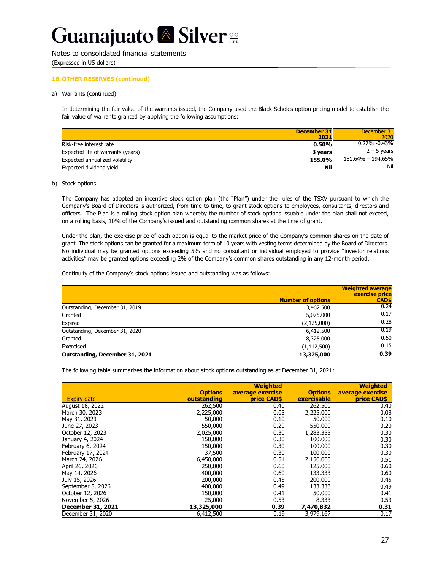Notes to consolidated financial statements (Expressed in US dollars)

### **16. OTHER RESERVES (continued)**

#### a) Warrants (continued)

In determining the fair value of the warrants issued, the Company used the Black-Scholes option pricing model to establish the fair value of warrants granted by applying the following assumptions:

|                                   | December 31 | December 31       |
|-----------------------------------|-------------|-------------------|
|                                   | 2021        | 2020              |
| Risk-free interest rate           | 0.50%       | 0.27% -0.43%      |
| Expected life of warrants (years) | 3 years     | $2 - 5$ years     |
| Expected annualized volatility    | 155.0%      | 181.64% - 194.65% |
| Expected dividend yield           | Nil         | Nil               |

#### b) Stock options

The Company has adopted an incentive stock option plan (the "Plan") under the rules of the TSXV pursuant to which the Company's Board of Directors is authorized, from time to time, to grant stock options to employees, consultants, directors and officers. The Plan is a rolling stock option plan whereby the number of stock options issuable under the plan shall not exceed, on a rolling basis, 10% of the Company's issued and outstanding common shares at the time of grant.

Under the plan, the exercise price of each option is equal to the market price of the Company's common shares on the date of grant. The stock options can be granted for a maximum term of 10 years with vesting terms determined by the Board of Directors. No individual may be granted options exceeding 5% and no consultant or individual employed to provide "investor relations activities" may be granted options exceeding 2% of the Company's common shares outstanding in any 12-month period.

Continuity of the Company's stock options issued and outstanding was as follows:

|                                | <b>Number of options</b> | <b>Weighted average</b><br>exercise price<br>CAD\$ |
|--------------------------------|--------------------------|----------------------------------------------------|
| Outstanding, December 31, 2019 | 3,462,500                | 0.24                                               |
| Granted                        | 5,075,000                | 0.17                                               |
| Expired                        | (2, 125, 000)            | 0.28                                               |
| Outstanding, December 31, 2020 | 6,412,500                | 0.19                                               |
| Granted                        | 8,325,000                | 0.50                                               |
| Exercised                      | (1,412,500)              | 0.15                                               |
| Outstanding, December 31, 2021 | 13,325,000               | 0.39                                               |

The following table summarizes the information about stock options outstanding as at December 31, 2021:

|                          |                               | <b>Weighted</b>                 |                               | <b>Weighted</b>                        |
|--------------------------|-------------------------------|---------------------------------|-------------------------------|----------------------------------------|
| <b>Expiry date</b>       | <b>Options</b><br>outstanding | average exercise<br>price CAD\$ | <b>Options</b><br>exercisable | average exercise<br><b>price CAD\$</b> |
| August 18, 2022          | 262,500                       | 0.40                            | 262,500                       | 0.40                                   |
| March 30, 2023           | 2,225,000                     | 0.08                            | 2,225,000                     | 0.08                                   |
| May 31, 2023             | 50,000                        | 0.10                            | 50,000                        | 0.10                                   |
| June 27, 2023            | 550,000                       | 0.20                            | 550,000                       | 0.20                                   |
| October 12, 2023         | 2,025,000                     | 0.30                            | 1,283,333                     | 0.30                                   |
| January 4, 2024          | 150,000                       | 0.30                            | 100,000                       | 0.30                                   |
| February 6, 2024         | 150,000                       | 0.30                            | 100,000                       | 0.30                                   |
| February 17, 2024        | 37,500                        | 0.30                            | 100,000                       | 0.30                                   |
| March 24, 2026           | 6,450,000                     | 0.51                            | 2,150,000                     | 0.51                                   |
| April 26, 2026           | 250,000                       | 0.60                            | 125,000                       | 0.60                                   |
| May 14, 2026             | 400,000                       | 0.60                            | 133,333                       | 0.60                                   |
| July 15, 2026            | 200,000                       | 0.45                            | 200,000                       | 0.45                                   |
| September 8, 2026        | 400,000                       | 0.49                            | 133,333                       | 0.49                                   |
| October 12, 2026         | 150,000                       | 0.41                            | 50,000                        | 0.41                                   |
| November 5, 2026         | 25,000                        | 0.53                            | 8,333                         | 0.53                                   |
| <b>December 31, 2021</b> | 13,325,000                    | 0.39                            | 7,470,832                     | 0.31                                   |
| December 31, 2020        | 6,412,500                     | 0.19                            | 3,979,167                     | 0.17                                   |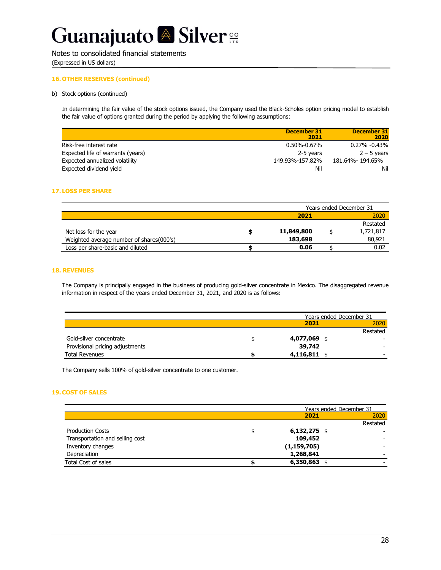Notes to consolidated financial statements

(Expressed in US dollars)

## **16. OTHER RESERVES (continued)**

### b) Stock options (continued)

In determining the fair value of the stock options issued, the Company used the Black-Scholes option pricing model to establish the fair value of options granted during the period by applying the following assumptions:

|                                   | December 31<br>2021 | December 31<br>2020 |
|-----------------------------------|---------------------|---------------------|
| Risk-free interest rate           | $0.50\% - 0.67\%$   | $0.27\% -0.43\%$    |
| Expected life of warrants (years) | 2-5 years           | $2 - 5$ vears       |
| Expected annualized volatility    | 149.93%-157.82%     | 181.64%-194.65%     |
| Expected dividend vield           | Nil                 | Nil                 |

### **17. LOSS PER SHARE**

|                                          |            | Years ended December 31 |
|------------------------------------------|------------|-------------------------|
|                                          | 2021       | 2020                    |
|                                          |            | Restated                |
| Net loss for the year                    | 11,849,800 | 1,721,817               |
| Weighted average number of shares(000's) | 183,698    | 80,921                  |
| Loss per share-basic and diluted         | 0.06       | 0.02                    |

### **18. REVENUES**

The Company is principally engaged in the business of producing gold-silver concentrate in Mexico. The disaggregated revenue information in respect of the years ended December 31, 2021, and 2020 is as follows:

|                                 |           | Years ended December 31 |
|---------------------------------|-----------|-------------------------|
|                                 | 2021      | 2020                    |
|                                 |           | Restated                |
| Gold-silver concentrate         | 4,077,069 |                         |
| Provisional pricing adjustments | 39,742    |                         |
| <b>Total Revenues</b>           | 4,116,811 |                         |

The Company sells 100% of gold-silver concentrate to one customer.

## **19.COST OF SALES**

|                                 |                                                    | Years ended December 31 |  |  |
|---------------------------------|----------------------------------------------------|-------------------------|--|--|
|                                 | 2021<br>$6,132,275$ \$<br>109,452<br>(1, 159, 705) |                         |  |  |
|                                 |                                                    | Restated                |  |  |
| <b>Production Costs</b>         |                                                    |                         |  |  |
| Transportation and selling cost |                                                    |                         |  |  |
| Inventory changes               |                                                    |                         |  |  |
| Depreciation                    | 1,268,841                                          |                         |  |  |
| Total Cost of sales             | 6,350,863                                          |                         |  |  |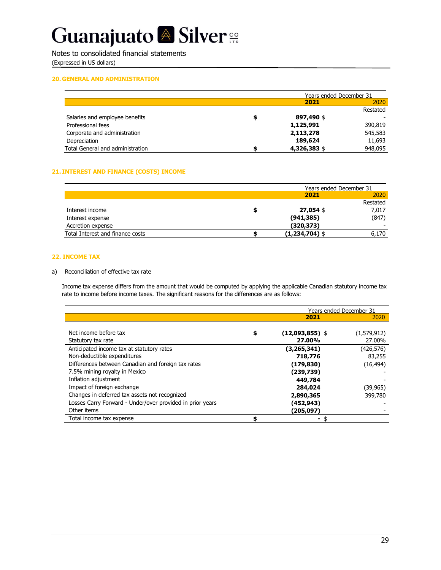# Guanajuato <sup>2</sup> Silver<sup>59</sup>

Notes to consolidated financial statements (Expressed in US dollars)

### **20. GENERAL AND ADMINISTRATION**

|                                  |   | Years ended December 31 |          |
|----------------------------------|---|-------------------------|----------|
|                                  |   | 2021                    | 2020     |
|                                  |   |                         | Restated |
| Salaries and employee benefits   | æ | 897,490 \$              |          |
| Professional fees                |   | 1,125,991               | 390,819  |
| Corporate and administration     |   | 2,113,278               | 545,583  |
| Depreciation                     |   | 189,624                 | 11,693   |
| Total General and administration |   | 4,326,383 \$            | 948.095  |

### **21. INTEREST AND FINANCE (COSTS) INCOME**

|                                  |                  | Years ended December 31 |
|----------------------------------|------------------|-------------------------|
|                                  | 2021             | 2020                    |
|                                  |                  | Restated                |
| Interest income                  | $27,054$ \$      | 7,017                   |
| Interest expense                 | (941, 385)       | (847)                   |
| Accretion expense                | (320, 373)       |                         |
| Total Interest and finance costs | $(1,234,704)$ \$ | 6.170                   |

#### **22. INCOME TAX**

#### a) Reconciliation of effective tax rate

Income tax expense differs from the amount that would be computed by applying the applicable Canadian statutory income tax rate to income before income taxes. The significant reasons for the differences are as follows:

|                                                           | Years ended December 31 |             |  |  |  |
|-----------------------------------------------------------|-------------------------|-------------|--|--|--|
|                                                           | 2021                    | 2020        |  |  |  |
|                                                           |                         |             |  |  |  |
| Net income before tax                                     | \$<br>$(12,093,855)$ \$ | (1,579,912) |  |  |  |
| Statutory tax rate                                        | 27.00%                  | 27.00%      |  |  |  |
| Anticipated income tax at statutory rates                 | (3,265,341)             | (426, 576)  |  |  |  |
| Non-deductible expenditures                               | 718,776                 | 83,255      |  |  |  |
| Differences between Canadian and foreign tax rates        | (179, 830)              | (16,494)    |  |  |  |
| 7.5% mining royalty in Mexico                             | (239,739)               |             |  |  |  |
| Inflation adjustment                                      | 449,784                 |             |  |  |  |
| Impact of foreign exchange                                | 284,024                 | (39,965)    |  |  |  |
| Changes in deferred tax assets not recognized             | 2,890,365               | 399,780     |  |  |  |
| Losses Carry Forward - Under/over provided in prior years | (452,943)               |             |  |  |  |
| Other items                                               | (205,097)               |             |  |  |  |
| Total income tax expense                                  |                         |             |  |  |  |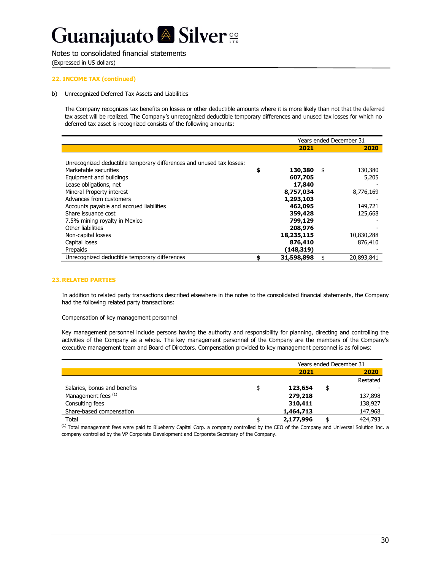Notes to consolidated financial statements (Expressed in US dollars)

### **22. INCOME TAX (continued)**

#### b) Unrecognized Deferred Tax Assets and Liabilities

The Company recognizes tax benefits on losses or other deductible amounts where it is more likely than not that the deferred tax asset will be realized. The Company's unrecognized deductible temporary differences and unused tax losses for which no deferred tax asset is recognized consists of the following amounts:

|                                                                      |                  | Years ended December 31 |
|----------------------------------------------------------------------|------------------|-------------------------|
|                                                                      | 2021             | 2020                    |
|                                                                      |                  |                         |
| Unrecognized deductible temporary differences and unused tax losses: |                  |                         |
| Marketable securities                                                | \$<br>130,380    | \$<br>130,380           |
| Equipment and buildings                                              | 607,705          | 5,205                   |
| Lease obligations, net                                               | 17,840           |                         |
| Mineral Property interest                                            | 8,757,034        | 8,776,169               |
| Advances from customers                                              | 1,293,103        |                         |
| Accounts payable and accrued liabilities                             | 462,095          | 149,721                 |
| Share issuance cost                                                  | 359,428          | 125,668                 |
| 7.5% mining royalty in Mexico                                        | 799,129          |                         |
| Other liabilities                                                    | 208,976          |                         |
| Non-capital losses                                                   | 18,235,115       | 10,830,288              |
| Capital loses                                                        | 876,410          | 876,410                 |
| Prepaids                                                             | (148,319)        |                         |
| Unrecognized deductible temporary differences                        | \$<br>31,598,898 | \$<br>20,893,841        |

#### **23. RELATED PARTIES**

In addition to related party transactions described elsewhere in the notes to the consolidated financial statements, the Company had the following related party transactions:

#### Compensation of key management personnel

Key management personnel include persons having the authority and responsibility for planning, directing and controlling the activities of the Company as a whole. The key management personnel of the Company are the members of the Company's executive management team and Board of Directors. Compensation provided to key management personnel is as follows:

|                              |               | Years ended December 31 |          |  |  |
|------------------------------|---------------|-------------------------|----------|--|--|
|                              | 2021          | 2020                    |          |  |  |
|                              |               |                         | Restated |  |  |
| Salaries, bonus and benefits | \$<br>123,654 | \$                      |          |  |  |
| Management fees (1)          | 279,218       |                         | 137,898  |  |  |
| Consulting fees              | 310,411       |                         | 138,927  |  |  |
| Share-based compensation     | 1,464,713     |                         | 147,968  |  |  |
| Total                        | 2,177,996     |                         | 424,793  |  |  |

 $\overline{^{(1)}}$  Total management fees were paid to Blueberry Capital Corp. a company controlled by the CEO of the Company and Universal Solution Inc. a company controlled by the VP Corporate Development and Corporate Secretary of the Company.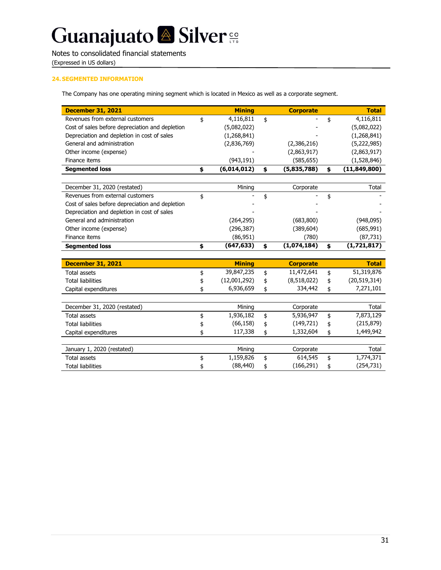Notes to consolidated financial statements

(Expressed in US dollars)

## **24. SEGMENTED INFORMATION**

The Company has one operating mining segment which is located in Mexico as well as a corporate segment.

| <b>December 31, 2021</b>                        | <b>Mining</b>      | <b>Corporate</b>  | <b>Total</b>         |
|-------------------------------------------------|--------------------|-------------------|----------------------|
| Revenues from external customers                | \$<br>4,116,811    | \$                | \$<br>4,116,811      |
| Cost of sales before depreciation and depletion | (5,082,022)        |                   | (5,082,022)          |
| Depreciation and depletion in cost of sales     | (1,268,841)        |                   | (1,268,841)          |
| General and administration                      | (2,836,769)        | (2,386,216)       | (5,222,985)          |
| Other income (expense)                          |                    | (2,863,917)       | (2,863,917)          |
| Finance items                                   | (943, 191)         | (585, 655)        | (1,528,846)          |
| <b>Segmented loss</b>                           | \$<br>(6,014,012)  | \$<br>(5,835,788) | \$<br>(11, 849, 800) |
|                                                 |                    |                   |                      |
| December 31, 2020 (restated)                    | Mining             | Corporate         | Total                |
| Revenues from external customers                | \$                 | \$                | \$                   |
| Cost of sales before depreciation and depletion |                    |                   |                      |
| Depreciation and depletion in cost of sales     |                    |                   |                      |
| General and administration                      | (264, 295)         | (683, 800)        | (948,095)            |
| Other income (expense)                          | (296, 387)         | (389, 604)        | (685, 991)           |
| Finance items                                   | (86, 951)          | (780)             | (87, 731)            |
| <b>Segmented loss</b>                           | \$<br>(647, 633)   | \$<br>(1,074,184) | \$<br>(1,721,817)    |
|                                                 |                    |                   |                      |
| <b>December 31, 2021</b>                        | <b>Mining</b>      | <b>Corporate</b>  | <b>Total</b>         |
| <b>Total assets</b>                             | \$<br>39,847,235   | \$<br>11,472,641  | \$<br>51,319,876     |
| <b>Total liabilities</b>                        | \$<br>(12,001,292) | \$<br>(8,518,022) | \$<br>(20, 519, 314) |
| Capital expenditures                            | \$<br>6,936,659    | \$<br>334,442     | \$<br>7,271,101      |
|                                                 |                    |                   |                      |
| December 31, 2020 (restated)                    | Mining             | Corporate         | Total                |
| <b>Total assets</b>                             | \$<br>1,936,182    | \$<br>5,936,947   | \$<br>7,873,129      |
| <b>Total liabilities</b>                        | \$<br>(66, 158)    | \$<br>(149, 721)  | \$<br>(215, 879)     |
| Capital expenditures                            | \$<br>117,338      | \$<br>1,332,604   | \$<br>1,449,942      |
|                                                 |                    |                   |                      |
| January 1, 2020 (restated)                      | Mining             | Corporate         | Total                |
| <b>Total assets</b>                             | \$<br>1,159,826    | \$<br>614,545     | \$<br>1,774,371      |
| <b>Total liabilities</b>                        | \$<br>(88, 440)    | \$<br>(166, 291)  | \$<br>(254, 731)     |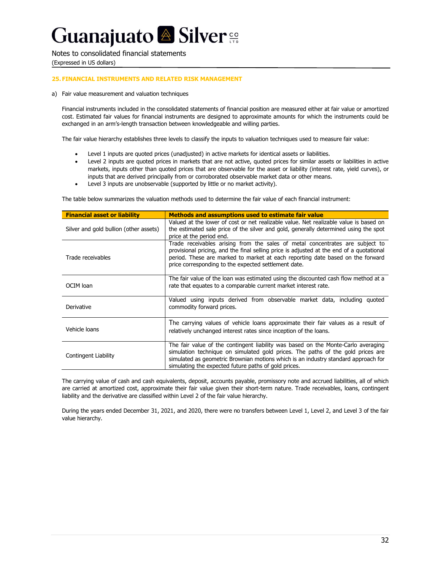Notes to consolidated financial statements (Expressed in US dollars)

### **25. FINANCIAL INSTRUMENTS AND RELATED RISK MANAGEMENT**

a) Fair value measurement and valuation techniques

Financial instruments included in the consolidated statements of financial position are measured either at fair value or amortized cost. Estimated fair values for financial instruments are designed to approximate amounts for which the instruments could be exchanged in an arm's-length transaction between knowledgeable and willing parties.

The fair value hierarchy establishes three levels to classify the inputs to valuation techniques used to measure fair value:

- Level 1 inputs are quoted prices (unadjusted) in active markets for identical assets or liabilities.
- Level 2 inputs are quoted prices in markets that are not active, quoted prices for similar assets or liabilities in active markets, inputs other than quoted prices that are observable for the asset or liability (interest rate, yield curves), or inputs that are derived principally from or corroborated observable market data or other means.
- Level 3 inputs are unobservable (supported by little or no market activity).

The table below summarizes the valuation methods used to determine the fair value of each financial instrument:

| <b>Financial asset or liability</b>    | <b>Methods and assumptions used to estimate fair value</b>                                                                                                                                                                                                                                                          |
|----------------------------------------|---------------------------------------------------------------------------------------------------------------------------------------------------------------------------------------------------------------------------------------------------------------------------------------------------------------------|
| Silver and gold bullion (other assets) | Valued at the lower of cost or net realizable value. Net realizable value is based on<br>the estimated sale price of the silver and gold, generally determined using the spot<br>price at the period end.                                                                                                           |
| Trade receivables                      | Trade receivables arising from the sales of metal concentrates are subject to<br>provisional pricing, and the final selling price is adjusted at the end of a quotational<br>period. These are marked to market at each reporting date based on the forward<br>price corresponding to the expected settlement date. |
| OCIM loan                              | The fair value of the loan was estimated using the discounted cash flow method at a<br>rate that equates to a comparable current market interest rate.                                                                                                                                                              |
| Derivative                             | Valued using inputs derived from observable market data, including quoted<br>commodity forward prices.                                                                                                                                                                                                              |
| Vehicle loans                          | The carrying values of vehicle loans approximate their fair values as a result of<br>relatively unchanged interest rates since inception of the loans.                                                                                                                                                              |
| Contingent Liability                   | The fair value of the contingent liability was based on the Monte-Carlo averaging<br>simulation technique on simulated gold prices. The paths of the gold prices are<br>simulated as geometric Brownian motions which is an industry standard approach for<br>simulating the expected future paths of gold prices.  |

The carrying value of cash and cash equivalents, deposit, accounts payable, promissory note and accrued liabilities, all of which are carried at amortized cost, approximate their fair value given their short-term nature. Trade receivables, loans, contingent liability and the derivative are classified within Level 2 of the fair value hierarchy.

During the years ended December 31, 2021, and 2020, there were no transfers between Level 1, Level 2, and Level 3 of the fair value hierarchy.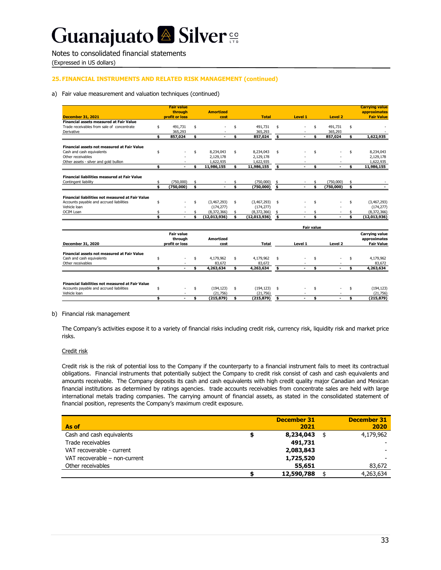# Guanajuato <sup>a</sup> Silver

Notes to consolidated financial statements

(Expressed in US dollars)

## **25. FINANCIAL INSTRUMENTS AND RELATED RISK MANAGEMENT (continued)**

### a) Fair value measurement and valuation techniques (continued)

|                                                         |    | <b>Fair value</b> |                      |    |              |                                |                   |                    | <b>Carrying value</b> |
|---------------------------------------------------------|----|-------------------|----------------------|----|--------------|--------------------------------|-------------------|--------------------|-----------------------|
|                                                         |    | through           | <b>Amortized</b>     |    |              |                                |                   |                    | approximates          |
| <b>December 31, 2021</b>                                |    | profit or loss    | cost                 |    | <b>Total</b> | Level 1                        |                   | Level <sub>2</sub> | <b>Fair Value</b>     |
| <b>Financial assets measured at Fair Value</b>          |    |                   |                      |    |              |                                |                   |                    |                       |
| Trade receivables from sale of concentrate              | \$ | 491,731           | \$                   | \$ | 491.731      | \$                             | \$                | 491.731            | \$                    |
| Derivative                                              |    | 365,293           |                      |    | 365,293      |                                |                   | 365,293            |                       |
|                                                         | \$ | 857,024           | \$                   | \$ | 857,024      | \$                             | \$                | 857,024            | \$<br>1,622,935       |
| <b>Financial assets not measured at Fair Value</b>      |    |                   |                      |    |              |                                |                   |                    |                       |
| Cash and cash equivalents                               | \$ |                   | \$<br>8,234,043      | \$ | 8,234,043    | \$                             | \$                |                    | \$<br>8,234,043       |
| Other receivables                                       |    |                   | 2,129,178            |    | 2,129,178    |                                |                   |                    | 2,129,178             |
| Other assets - silver and gold bullion                  |    |                   | 1,622,935            |    | 1,622,935    |                                |                   |                    | 1.622.935             |
|                                                         | \$ |                   | \$<br>11,986,155     | \$ | 11,986,155   | \$                             | \$                |                    | \$<br>11,986,155      |
|                                                         |    |                   |                      |    |              |                                |                   |                    |                       |
| <b>Financial liabilities measured at Fair Value</b>     | \$ | (750,000)         |                      |    | (750,000)    |                                |                   | (750,000)          |                       |
| Contingent liability                                    | ¢. | (750,000)         | \$                   | ¢. |              | \$                             | ¢.                | (750,000)          | \$                    |
|                                                         |    |                   |                      |    | (750,000)    |                                |                   |                    |                       |
| <b>Financial liabilities not measured at Fair Value</b> |    |                   |                      |    |              |                                |                   |                    |                       |
| Accounts payable and accrued liabilities                | \$ |                   | \$<br>(3,467,293)    | \$ | (3,467,293)  | \$                             | \$                |                    | \$<br>(3,467,293)     |
| Vehicle Ioan                                            |    |                   | (174, 277)           |    | (174, 277)   |                                |                   |                    | (174, 277)            |
| OCIM Loan                                               | \$ |                   | \$<br>(8,372,366)    | \$ | (8,372,366)  | \$                             |                   |                    | (8,372,366)           |
|                                                         | \$ |                   | \$<br>(12, 013, 936) | \$ | (12,013,936) | \$                             | \$                |                    | (12,013,936)          |
|                                                         |    |                   |                      |    |              |                                | <b>Fair value</b> |                    |                       |
|                                                         |    | <b>Fair value</b> |                      |    |              |                                |                   |                    | <b>Carrying value</b> |
|                                                         |    | through           | <b>Amortized</b>     |    |              |                                |                   |                    | approximates          |
| December 31, 2020                                       |    | profit or loss    | cost                 |    | <b>Total</b> | Level 1                        |                   | Level 2            | <b>Fair Value</b>     |
|                                                         |    |                   |                      |    |              |                                |                   |                    |                       |
| <b>Financial assets not measured at Fair Value</b>      |    |                   |                      |    |              |                                |                   |                    |                       |
| Cash and cash equivalents                               | \$ |                   | \$<br>4,179,962      | \$ | 4,179,962    | \$                             | \$                |                    | 4,179,962             |
| Other receivables                                       |    |                   | 83,672               |    | 83,672       |                                |                   |                    | 83,672                |
|                                                         | \$ | ۰                 | \$<br>4,263,634      | \$ | 4,263,634    | \$<br>$\overline{\phantom{a}}$ | \$                | ٠                  | \$<br>4,263,634       |
|                                                         |    |                   |                      |    |              |                                |                   |                    |                       |
| <b>Financial liabilities not measured at Fair Value</b> |    |                   |                      |    |              |                                |                   |                    |                       |
| Accounts payable and accrued liabilities                | \$ |                   | \$<br>(194, 123)     | \$ | (194, 123)   | \$                             | \$                |                    | \$<br>(194, 123)      |
| Vehicle loan                                            |    |                   | (21,756)             |    | (21,756)     |                                |                   |                    | (21, 756)             |
|                                                         | \$ | $\overline{a}$    | \$<br>(215, 879)     | \$ | (215, 879)   | \$                             | \$                | ÷.                 | \$<br>(215, 879)      |

#### b) Financial risk management

The Company's activities expose it to a variety of financial risks including credit risk, currency risk, liquidity risk and market price risks.

#### Credit risk

Credit risk is the risk of potential loss to the Company if the counterparty to a financial instrument fails to meet its contractual obligations. Financial instruments that potentially subject the Company to credit risk consist of cash and cash equivalents and amounts receivable. The Company deposits its cash and cash equivalents with high credit quality major Canadian and Mexican financial institutions as determined by ratings agencies. trade accounts receivables from concentrate sales are held with large international metals trading companies. The carrying amount of financial assets, as stated in the consolidated statement of financial position, represents the Company's maximum credit exposure.

| As of                         | <b>December 31</b><br>2021 | <b>December 31</b><br>2020 |
|-------------------------------|----------------------------|----------------------------|
| Cash and cash equivalents     | 8,234,043<br>\$            | 4,179,962                  |
| Trade receivables             | 491,731                    |                            |
| VAT recoverable - current     | 2,083,843                  |                            |
| VAT recoverable - non-current | 1,725,520                  |                            |
| Other receivables             | 55,651                     | 83,672                     |
|                               | 12,590,788                 | 4,263,634                  |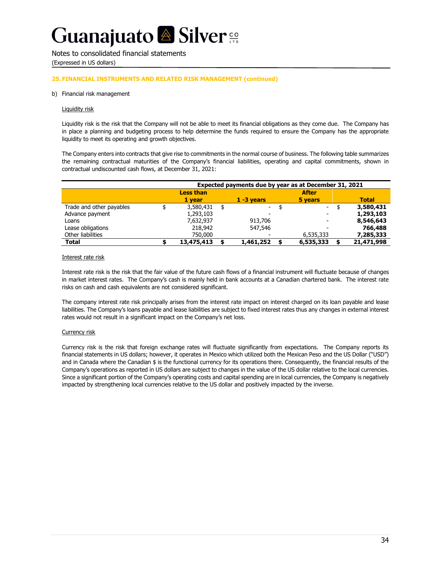Notes to consolidated financial statements (Expressed in US dollars)

### **25. FINANCIAL INSTRUMENTS AND RELATED RISK MANAGEMENT (continued)**

### b) Financial risk management

#### Liquidity risk

Liquidity risk is the risk that the Company will not be able to meet its financial obligations as they come due. The Company has in place a planning and budgeting process to help determine the funds required to ensure the Company has the appropriate liquidity to meet its operating and growth objectives.

The Company enters into contracts that give rise to commitments in the normal course of business. The following table summarizes the remaining contractual maturities of the Company's financial liabilities, operating and capital commitments, shown in contractual undiscounted cash flows, at December 31, 2021:

| Expected payments due by year as at December 31, 2021 |  |                  |  |               |  |                          |  |              |
|-------------------------------------------------------|--|------------------|--|---------------|--|--------------------------|--|--------------|
|                                                       |  | <b>Less than</b> |  | <b>After</b>  |  |                          |  |              |
|                                                       |  | 1 vear           |  | $1 - 3$ years |  | 5 years                  |  | <b>Total</b> |
| Trade and other payables                              |  | 3,580,431        |  | $\sim$        |  | $\blacksquare$           |  | 3,580,431    |
| Advance payment                                       |  | 1,293,103        |  | -             |  | $\overline{\phantom{a}}$ |  | 1,293,103    |
| Loans                                                 |  | 7.632.937        |  | 913,706       |  | $\overline{\phantom{a}}$ |  | 8,546,643    |
| Lease obligations                                     |  | 218,942          |  | 547,546       |  | $\overline{\phantom{a}}$ |  | 766,488      |
| Other liabilities                                     |  | 750,000          |  |               |  | 6,535,333                |  | 7,285,333    |
| Total                                                 |  | 13,475,413       |  | 1,461,252     |  | 6,535,333                |  | 21,471,998   |

#### Interest rate risk

Interest rate risk is the risk that the fair value of the future cash flows of a financial instrument will fluctuate because of changes in market interest rates. The Company's cash is mainly held in bank accounts at a Canadian chartered bank. The interest rate risks on cash and cash equivalents are not considered significant.

The company interest rate risk principally arises from the interest rate impact on interest charged on its loan payable and lease liabilities. The Company's loans payable and lease liabilities are subject to fixed interest rates thus any changes in external interest rates would not result in a significant impact on the Company's net loss.

### Currency risk

Currency risk is the risk that foreign exchange rates will fluctuate significantly from expectations. The Company reports its financial statements in US dollars; however, it operates in Mexico which utilized both the Mexican Peso and the US Dollar ("USD") and in Canada where the Canadian \$ is the functional currency for its operations there. Consequently, the financial results of the Company's operations as reported in US dollars are subject to changes in the value of the US dollar relative to the local currencies. Since a significant portion of the Company's operating costs and capital spending are in local currencies, the Company is negatively impacted by strengthening local currencies relative to the US dollar and positively impacted by the inverse.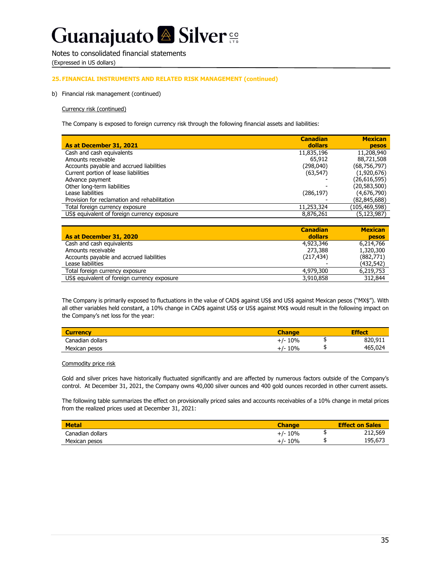Notes to consolidated financial statements (Expressed in US dollars)

### **25. FINANCIAL INSTRUMENTS AND RELATED RISK MANAGEMENT (continued)**

b) Financial risk management (continued)

#### Currency risk (continued)

The Company is exposed to foreign currency risk through the following financial assets and liabilities:

|                                              | <b>Canadian</b> | <b>Mexican</b> |
|----------------------------------------------|-----------------|----------------|
| As at December 31, 2021                      | dollars         | pesos          |
| Cash and cash equivalents                    | 11,835,196      | 11,208,940     |
| Amounts receivable                           | 65,912          | 88,721,508     |
| Accounts payable and accrued liabilities     | (298,040)       | (68,756,797)   |
| Current portion of lease liabilities         | (63, 547)       | (1,920,676)    |
| Advance payment                              |                 | (26,616,595)   |
| Other long-term liabilities                  |                 | (20,583,500)   |
| Lease liabilities                            | (286,197)       | (4,676,790)    |
| Provision for reclamation and rehabilitation |                 | (82,845,688)   |
| Total foreign currency exposure              | 11,253,324      | (105,469,598)  |
| US\$ equivalent of foreign currency exposure | 8,876,261       | (5, 123, 987)  |

|                                              | <b>Canadian</b> | <b>Mexican</b> |
|----------------------------------------------|-----------------|----------------|
| As at December 31, 2020                      | dollars         | <b>pesos</b>   |
| Cash and cash equivalents                    | 4,923,346       | 6,214,766      |
| Amounts receivable                           | 273,388         | 1,320,300      |
| Accounts payable and accrued liabilities     | (217, 434)      | (882,771)      |
| Lease liabilities                            |                 | (432,542)      |
| Total foreign currency exposure              | 4,979,300       | 6,219,753      |
| US\$ equivalent of foreign currency exposure | 3,910,858       | 312,844        |

The Company is primarily exposed to fluctuations in the value of CAD\$ against US\$ and US\$ against Mexican pesos ("MX\$"). With all other variables held constant, a 10% change in CAD\$ against US\$ or US\$ against MX\$ would result in the following impact on the Company's net loss for the year:

| <b>Currency</b>  | <b>Change</b> | <b>Effect</b> |
|------------------|---------------|---------------|
| Canadian dollars | $+/- 10\%$    | 820,911       |
| Mexican pesos    | $+/- 10%$     | 465,024       |

#### Commodity price risk

Gold and silver prices have historically fluctuated significantly and are affected by numerous factors outside of the Company's control. At December 31, 2021, the Company owns 40,000 silver ounces and 400 gold ounces recorded in other current assets.

The following table summarizes the effect on provisionally priced sales and accounts receivables of a 10% change in metal prices from the realized prices used at December 31, 2021:

| <b>Metal</b>     | <b>Change</b> | <b>Effect on Sales</b> |
|------------------|---------------|------------------------|
| Canadian dollars | $+/- 10%$     | 212,569                |
| Mexican pesos    | 10%<br>$+/-$  | 195,673                |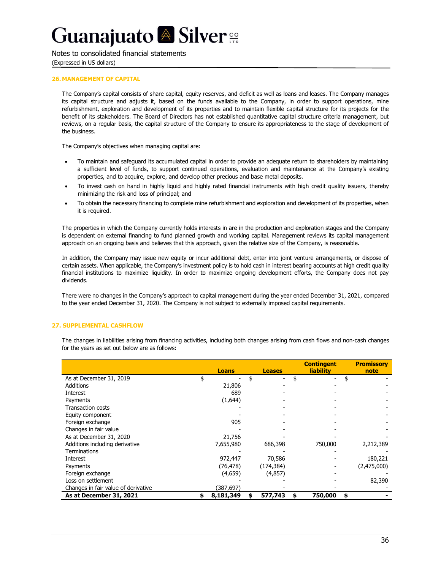Notes to consolidated financial statements (Expressed in US dollars)

#### **26. MANAGEMENT OF CAPITAL**

The Company's capital consists of share capital, equity reserves, and deficit as well as loans and leases. The Company manages its capital structure and adjusts it, based on the funds available to the Company, in order to support operations, mine refurbishment, exploration and development of its properties and to maintain flexible capital structure for its projects for the benefit of its stakeholders. The Board of Directors has not established quantitative capital structure criteria management, but reviews, on a regular basis, the capital structure of the Company to ensure its appropriateness to the stage of development of the business.

The Company's objectives when managing capital are:

- To maintain and safeguard its accumulated capital in order to provide an adequate return to shareholders by maintaining a sufficient level of funds, to support continued operations, evaluation and maintenance at the Company's existing properties, and to acquire, explore, and develop other precious and base metal deposits.
- To invest cash on hand in highly liquid and highly rated financial instruments with high credit quality issuers, thereby minimizing the risk and loss of principal; and
- To obtain the necessary financing to complete mine refurbishment and exploration and development of its properties, when it is required.

The properties in which the Company currently holds interests in are in the production and exploration stages and the Company is dependent on external financing to fund planned growth and working capital. Management reviews its capital management approach on an ongoing basis and believes that this approach, given the relative size of the Company, is reasonable.

In addition, the Company may issue new equity or incur additional debt, enter into joint venture arrangements, or dispose of certain assets. When applicable, the Company's investment policy is to hold cash in interest bearing accounts at high credit quality financial institutions to maximize liquidity. In order to maximize ongoing development efforts, the Company does not pay dividends.

There were no changes in the Company's approach to capital management during the year ended December 31, 2021, compared to the year ended December 31, 2020. The Company is not subject to externally imposed capital requirements.

#### **27. SUPPLEMENTAL CASHFLOW**

The changes in liabilities arising from financing activities, including both changes arising from cash flows and non-cash changes for the years as set out below are as follows:

|                                     | <b>Loans</b> | <b>Leases</b> | <b>Contingent</b><br><b>liability</b> | <b>Promissory</b><br>note |
|-------------------------------------|--------------|---------------|---------------------------------------|---------------------------|
| As at December 31, 2019             | \$           | -             |                                       |                           |
| <b>Additions</b>                    | 21,806       |               |                                       |                           |
| Interest                            | 689          |               |                                       |                           |
| Payments                            | (1,644)      |               |                                       |                           |
| Transaction costs                   |              |               |                                       |                           |
| Equity component                    |              |               |                                       |                           |
| Foreign exchange                    | 905          |               |                                       |                           |
| Changes in fair value               |              |               |                                       |                           |
| As at December 31, 2020             | 21,756       |               |                                       |                           |
| Additions including derivative      | 7,655,980    | 686,398       | 750,000                               | 2,212,389                 |
| <b>Terminations</b>                 |              |               |                                       |                           |
| Interest                            | 972,447      | 70,586        |                                       | 180,221                   |
| Payments                            | (76, 478)    | (174, 384)    |                                       | (2,475,000)               |
| Foreign exchange                    | (4,659)      | (4,857)       |                                       |                           |
| Loss on settlement                  |              |               |                                       | 82,390                    |
| Changes in fair value of derivative | (387, 697)   |               |                                       |                           |
| As at December 31, 2021             | 8,181,349    | 577,743       | 750,000                               | \$                        |